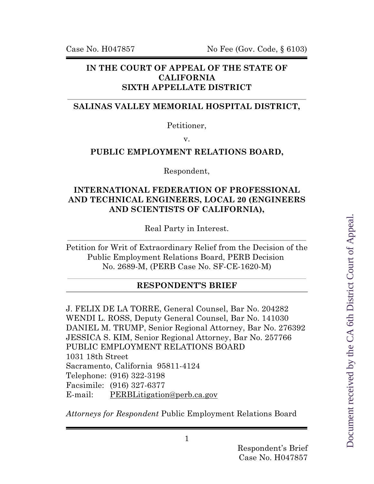## **IN THE COURT OF APPEAL OF THE STATE OF CALIFORNIA SIXTH APPELLATE DISTRICT**

## **SALINAS VALLEY MEMORIAL HOSPITAL DISTRICT,**

Petitioner,

v.

## **PUBLIC EMPLOYMENT RELATIONS BOARD,**

Respondent,

## **INTERNATIONAL FEDERATION OF PROFESSIONAL AND TECHNICAL ENGINEERS, LOCAL 20 (ENGINEERS AND SCIENTISTS OF CALIFORNIA),**

Real Party in Interest.

Petition for Writ of Extraordinary Relief from the Decision of the Public Employment Relations Board, PERB Decision No. 2689-M, (PERB Case No. SF-CE-1620-M)

## **RESPONDENT'S BRIEF**

J. FELIX DE LA TORRE, General Counsel, Bar No. 204282 WENDI L. ROSS, Deputy General Counsel, Bar No. 141030 DANIEL M. TRUMP, Senior Regional Attorney, Bar No. 276392 JESSICA S. KIM, Senior Regional Attorney, Bar No. 257766 PUBLIC EMPLOYMENT RELATIONS BOARD 1031 18th Street Sacramento, California 95811-4124 Telephone: (916) 322-3198 Facsimile: (916) 327-6377 E-mail: [PERBLitigation@perb.ca.gov](mailto:PERBLitigation@perb.ca.gov)

*Attorneys for Respondent* Public Employment Relations Board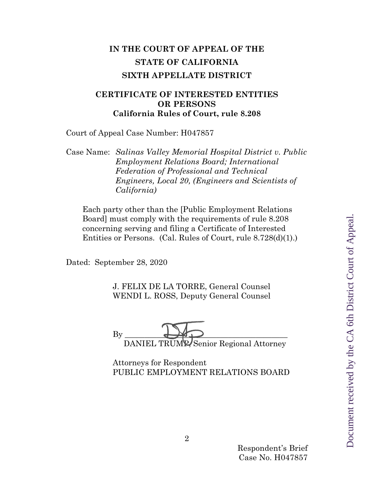# **IN THE COURT OF APPEAL OF THE STATE OF CALIFORNIA SIXTH APPELLATE DISTRICT**

## **CERTIFICATE OF INTERESTED ENTITIES OR PERSONS California Rules of Court, rule 8.208**

Court of Appeal Case Number: H047857

Case Name: *Salinas Valley Memorial Hospital District v. Public Employment Relations Board; International Federation of Professional and Technical Engineers, Local 20, (Engineers and Scientists of California)*

Each party other than the [Public Employment Relations Board] must comply with the requirements of rule 8.208 concerning serving and filing a Certificate of Interested Entities or Persons. (Cal. Rules of Court, rule 8.728(d)(1).)

Dated: September 28, 2020

J. FELIX DE LA TORRE, General Counsel WENDI L. ROSS, Deputy General Counsel

By \_\_\_\_\_\_\_\_\_\_\_\_\_\_\_\_\_\_\_\_\_\_\_\_\_\_\_\_\_\_\_\_\_\_\_\_\_\_\_\_\_ DANIEL TRUMP, Senior Regional Attorney

Attorneys for Respondent PUBLIC EMPLOYMENT RELATIONS BOARD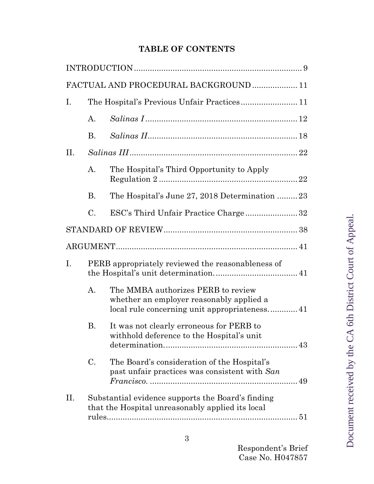# **TABLE OF CONTENTS**

|     |                                                   | FACTUAL AND PROCEDURAL BACKGROUND 11                                                                                           |  |
|-----|---------------------------------------------------|--------------------------------------------------------------------------------------------------------------------------------|--|
| Ι.  |                                                   |                                                                                                                                |  |
|     | A.                                                |                                                                                                                                |  |
|     | <b>B.</b>                                         |                                                                                                                                |  |
| II. |                                                   |                                                                                                                                |  |
|     | A.                                                | The Hospital's Third Opportunity to Apply                                                                                      |  |
|     | <b>B.</b>                                         | The Hospital's June 27, 2018 Determination 23                                                                                  |  |
|     | $\mathcal{C}$ .                                   | ESC's Third Unfair Practice Charge 32                                                                                          |  |
|     |                                                   |                                                                                                                                |  |
|     |                                                   |                                                                                                                                |  |
| Ι.  | PERB appropriately reviewed the reasonableness of |                                                                                                                                |  |
|     | $A$ .                                             | The MMBA authorizes PERB to review<br>whether an employer reasonably applied a<br>local rule concerning unit appropriateness41 |  |
|     | В.                                                | It was not clearly erroneous for PERB to<br>withhold deference to the Hospital's unit                                          |  |
|     | $\mathcal{C}$ .                                   | The Board's consideration of the Hospital's<br>past unfair practices was consistent with San                                   |  |
| II. |                                                   | Substantial evidence supports the Board's finding<br>that the Hospital unreasonably applied its local                          |  |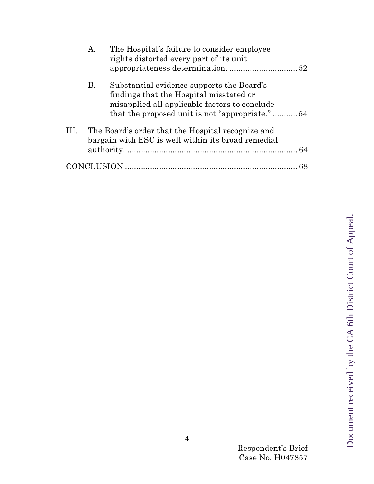|      | A.        | The Hospital's failure to consider employee<br>rights distorted every part of its unit                                                                                                  |  |
|------|-----------|-----------------------------------------------------------------------------------------------------------------------------------------------------------------------------------------|--|
|      | <b>B.</b> | Substantial evidence supports the Board's<br>findings that the Hospital misstated or<br>misapplied all applicable factors to conclude<br>that the proposed unit is not "appropriate."54 |  |
| III. |           | The Board's order that the Hospital recognize and<br>bargain with ESC is well within its broad remedial                                                                                 |  |
|      |           |                                                                                                                                                                                         |  |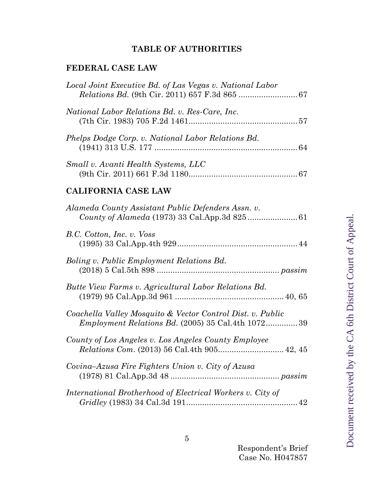## **TABLE OF AUTHORITIES**

## **FEDERAL CASE LAW**

| Local Joint Executive Bd. of Las Vegas v. National Labor |  |
|----------------------------------------------------------|--|
| National Labor Relations Bd. v. Res-Care, Inc.           |  |
| Phelps Dodge Corp. v. National Labor Relations Bd.       |  |
| Small v. Avanti Health Systems, LLC                      |  |

## **CALIFORNIA CASE LAW**

| Alameda County Assistant Public Defenders Assn. v.                                                                      |
|-------------------------------------------------------------------------------------------------------------------------|
| B.C. Cotton, Inc. v. Voss                                                                                               |
| Boling v. Public Employment Relations Bd.                                                                               |
| Butte View Farms v. Agricultural Labor Relations Bd.                                                                    |
| Coachella Valley Mosquito & Vector Control Dist. v. Public<br><i>Employment Relations Bd.</i> (2005) 35 Cal.4th 1072 39 |
| County of Los Angeles v. Los Angeles County Employee                                                                    |
| Covina–Azusa Fire Fighters Union v. City of Azusa                                                                       |
| International Brotherhood of Electrical Workers v. City of                                                              |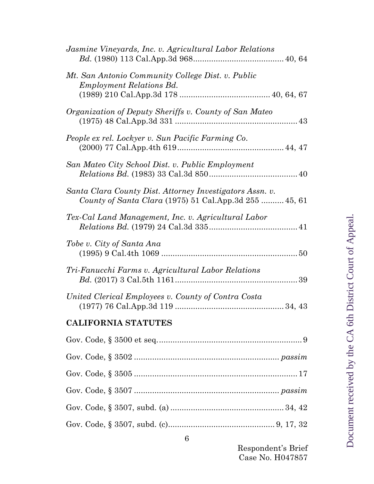| Jasmine Vineyards, Inc. v. Agricultural Labor Relations                                                            |  |
|--------------------------------------------------------------------------------------------------------------------|--|
| Mt. San Antonio Community College Dist. v. Public<br><i>Employment Relations Bd.</i>                               |  |
| Organization of Deputy Sheriffs v. County of San Mateo                                                             |  |
| People ex rel. Lockyer v. Sun Pacific Farming Co.                                                                  |  |
| San Mateo City School Dist. v. Public Employment                                                                   |  |
| Santa Clara County Dist. Attorney Investigators Assn. v.<br>County of Santa Clara (1975) 51 Cal.App.3d 255  45, 61 |  |
| Tex-Cal Land Management, Inc. v. Agricultural Labor                                                                |  |
| Tobe v. City of Santa Ana                                                                                          |  |
| Tri-Fanucchi Farms v. Agricultural Labor Relations                                                                 |  |
| United Clerical Employees v. County of Contra Costa                                                                |  |
| <b>CALIFORNIA STATUTES</b>                                                                                         |  |
|                                                                                                                    |  |
|                                                                                                                    |  |
|                                                                                                                    |  |
|                                                                                                                    |  |
|                                                                                                                    |  |
|                                                                                                                    |  |

Respondent's Brief Case No. H047857

Gov. Code, § 3507, subd. (c)............................................... 9, 17, 32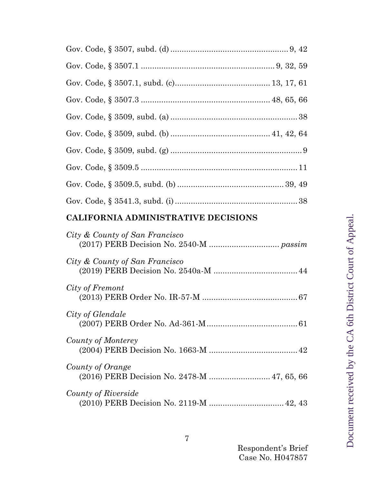## **CALIFORNIA ADMINISTRATIVE DECISIONS**

| City & County of San Francisco                                  |
|-----------------------------------------------------------------|
| City & County of San Francisco                                  |
| City of Fremont                                                 |
| City of Glendale                                                |
| County of Monterey                                              |
| County of Orange<br>(2016) PERB Decision No. 2478-M  47, 65, 66 |
| County of Riverside<br>(2010) PERB Decision No. 2119-M  42, 43  |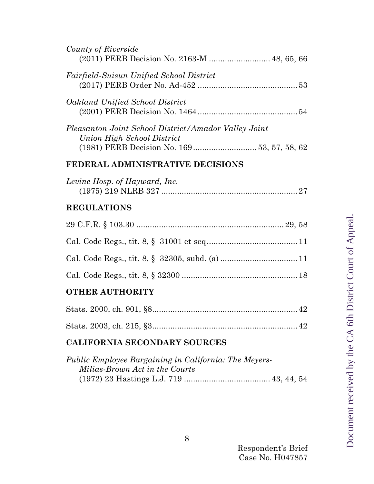| County of Riverside<br>(2011) PERB Decision No. 2163-M  48, 65, 66        |  |
|---------------------------------------------------------------------------|--|
| <i>Fairfield-Suisun Unified School District</i>                           |  |
| Oakland Unified School District                                           |  |
| Pleasanton Joint School District/Amador Valley Joint                      |  |
| Union High School District<br>(1981) PERB Decision No. 169 53, 57, 58, 62 |  |

## **FEDERAL ADMINISTRATIVE DECISIONS**

| Levine Hosp. of Hayward, Inc. |  |
|-------------------------------|--|
|                               |  |

## **REGULATIONS**

# **OTHER AUTHORITY**

## **CALIFORNIA SECONDARY SOURCES**

| Public Employee Bargaining in California: The Meyers- |  |  |
|-------------------------------------------------------|--|--|
| Milias-Brown Act in the Courts                        |  |  |
|                                                       |  |  |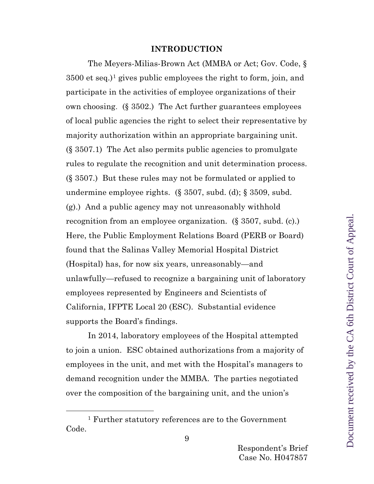#### **INTRODUCTION**

<span id="page-8-0"></span>The Meyers-Milias-Brown Act (MMBA or Act; Gov. Code, § 3500 et seq.)[1](#page-8-1) gives public employees the right to form, join, and participate in the activities of employee organizations of their own choosing. (§ 3502.) The Act further guarantees employees of local public agencies the right to select their representative by majority authorization within an appropriate bargaining unit. (§ 3507.1) The Act also permits public agencies to promulgate rules to regulate the recognition and unit determination process. (§ 3507.) But these rules may not be formulated or applied to undermine employee rights. (§ 3507, subd. (d); § 3509, subd. (g).) And a public agency may not unreasonably withhold recognition from an employee organization. (§ 3507, subd. (c).) Here, the Public Employment Relations Board (PERB or Board) found that the Salinas Valley Memorial Hospital District (Hospital) has, for now six years, unreasonably—and unlawfully—refused to recognize a bargaining unit of laboratory employees represented by Engineers and Scientists of California, IFPTE Local 20 (ESC). Substantial evidence supports the Board's findings.

In 2014, laboratory employees of the Hospital attempted to join a union. ESC obtained authorizations from a majority of employees in the unit, and met with the Hospital's managers to demand recognition under the MMBA. The parties negotiated over the composition of the bargaining unit, and the union's

<span id="page-8-1"></span><sup>1</sup> Further statutory references are to the Government Code.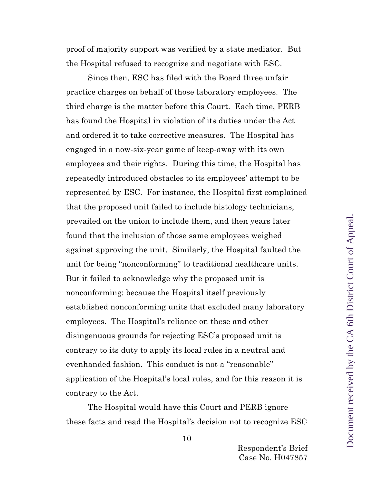proof of majority support was verified by a state mediator. But the Hospital refused to recognize and negotiate with ESC.

Since then, ESC has filed with the Board three unfair practice charges on behalf of those laboratory employees. The third charge is the matter before this Court. Each time, PERB has found the Hospital in violation of its duties under the Act and ordered it to take corrective measures. The Hospital has engaged in a now-six-year game of keep-away with its own employees and their rights. During this time, the Hospital has repeatedly introduced obstacles to its employees' attempt to be represented by ESC. For instance, the Hospital first complained that the proposed unit failed to include histology technicians, prevailed on the union to include them, and then years later found that the inclusion of those same employees weighed against approving the unit. Similarly, the Hospital faulted the unit for being "nonconforming" to traditional healthcare units. But it failed to acknowledge why the proposed unit is nonconforming: because the Hospital itself previously established nonconforming units that excluded many laboratory employees. The Hospital's reliance on these and other disingenuous grounds for rejecting ESC's proposed unit is contrary to its duty to apply its local rules in a neutral and evenhanded fashion. This conduct is not a "reasonable" application of the Hospital's local rules, and for this reason it is contrary to the Act.

The Hospital would have this Court and PERB ignore these facts and read the Hospital's decision not to recognize ESC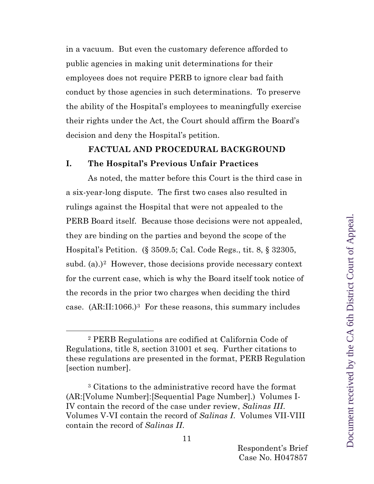in a vacuum. But even the customary deference afforded to public agencies in making unit determinations for their employees does not require PERB to ignore clear bad faith conduct by those agencies in such determinations. To preserve the ability of the Hospital's employees to meaningfully exercise their rights under the Act, the Court should affirm the Board's decision and deny the Hospital's petition.

#### **FACTUAL AND PROCEDURAL BACKGROUND**

#### <span id="page-10-1"></span><span id="page-10-0"></span>**I. The Hospital's Previous Unfair Practices**

As noted, the matter before this Court is the third case in a six-year-long dispute. The first two cases also resulted in rulings against the Hospital that were not appealed to the PERB Board itself. Because those decisions were not appealed, they are binding on the parties and beyond the scope of the Hospital's Petition. (§ 3509.5; Cal. Code Regs., tit. 8, § 32305, subd. (a).)<sup>[2](#page-10-2)</sup> However, those decisions provide necessary context for the current case, which is why the Board itself took notice of the records in the prior two charges when deciding the third case. (AR:II:1066.)[3](#page-10-3) For these reasons, this summary includes

Document received by the CA 6th District Court of Appeal.Document received by the CA 6th District Court of Appeal

<span id="page-10-2"></span><sup>2</sup> PERB Regulations are codified at California Code of Regulations, title 8, section 31001 et seq. Further citations to these regulations are presented in the format, PERB Regulation [section number].

<span id="page-10-3"></span><sup>3</sup> Citations to the administrative record have the format (AR:[Volume Number]:[Sequential Page Number].) Volumes I-IV contain the record of the case under review, *Salinas III*. Volumes V-VI contain the record of *Salinas I*. Volumes VII-VIII contain the record of *Salinas II*.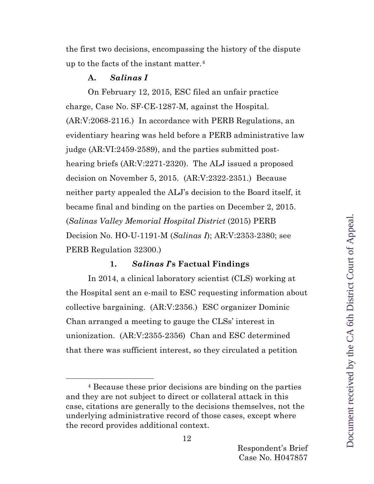the first two decisions, encompassing the history of the dispute up to the facts of the instant matter.[4](#page-11-1)

## **A.** *Salinas I*

<span id="page-11-0"></span>On February 12, 2015, ESC filed an unfair practice charge, Case No. SF-CE-1287-M, against the Hospital. (AR:V:2068-2116.) In accordance with PERB Regulations, an evidentiary hearing was held before a PERB administrative law judge (AR:VI:2459-2589), and the parties submitted posthearing briefs (AR:V:2271-2320). The ALJ issued a proposed decision on November 5, 2015. (AR:V:2322-2351.) Because neither party appealed the ALJ's decision to the Board itself, it became final and binding on the parties on December 2, 2015. (*Salinas Valley Memorial Hospital District* (2015) PERB Decision No. HO-U-1191-M (*Salinas I*); AR:V:2353-2380; see PERB Regulation 32300.)

## **1.** *Salinas I***'s Factual Findings**

In 2014, a clinical laboratory scientist (CLS) working at the Hospital sent an e-mail to ESC requesting information about collective bargaining. (AR:V:2356.) ESC organizer Dominic Chan arranged a meeting to gauge the CLSs' interest in unionization. (AR:V:2355-2356) Chan and ESC determined that there was sufficient interest, so they circulated a petition

<span id="page-11-1"></span><sup>4</sup> Because these prior decisions are binding on the parties and they are not subject to direct or collateral attack in this case, citations are generally to the decisions themselves, not the underlying administrative record of those cases, except where the record provides additional context.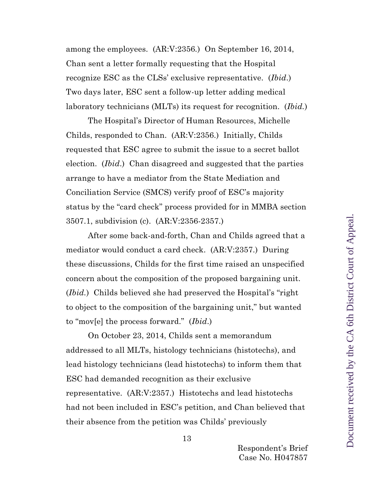among the employees. (AR:V:2356*.*) On September 16, 2014, Chan sent a letter formally requesting that the Hospital recognize ESC as the CLSs' exclusive representative. (*Ibid*.) Two days later, ESC sent a follow-up letter adding medical laboratory technicians (MLTs) its request for recognition. (*Ibid.*)

The Hospital's Director of Human Resources, Michelle Childs, responded to Chan. (AR:V:2356.) Initially, Childs requested that ESC agree to submit the issue to a secret ballot election. (*Ibid*.) Chan disagreed and suggested that the parties arrange to have a mediator from the State Mediation and Conciliation Service (SMCS) verify proof of ESC's majority status by the "card check" process provided for in MMBA section 3507.1, subdivision (c). (AR:V:2356-2357.)

After some back-and-forth, Chan and Childs agreed that a mediator would conduct a card check. (AR:V:2357.) During these discussions, Childs for the first time raised an unspecified concern about the composition of the proposed bargaining unit. (*Ibid.*) Childs believed she had preserved the Hospital's "right to object to the composition of the bargaining unit," but wanted to "mov[e] the process forward." (*Ibid*.)

On October 23, 2014, Childs sent a memorandum addressed to all MLTs, histology technicians (histotechs), and lead histology technicians (lead histotechs) to inform them that ESC had demanded recognition as their exclusive representative. (AR:V:2357.) Histotechs and lead histotechs had not been included in ESC's petition, and Chan believed that their absence from the petition was Childs' previously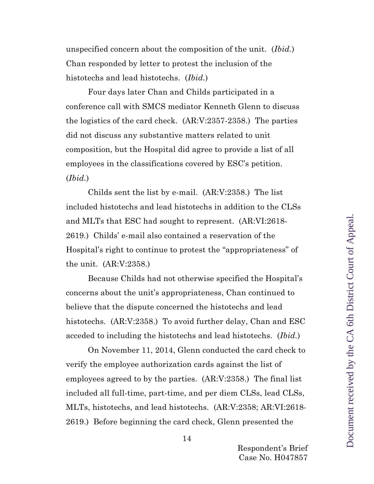unspecified concern about the composition of the unit. (*Ibid.*) Chan responded by letter to protest the inclusion of the histotechs and lead histotechs. (*Ibid.*)

Four days later Chan and Childs participated in a conference call with SMCS mediator Kenneth Glenn to discuss the logistics of the card check. (AR:V:2357-2358.) The parties did not discuss any substantive matters related to unit composition, but the Hospital did agree to provide a list of all employees in the classifications covered by ESC's petition. (*Ibid.*)

Childs sent the list by e-mail. (AR:V:2358.) The list included histotechs and lead histotechs in addition to the CLSs and MLTs that ESC had sought to represent. (AR:VI:2618- 2619.) Childs' e-mail also contained a reservation of the Hospital's right to continue to protest the "appropriateness" of the unit. (AR:V:2358.)

Because Childs had not otherwise specified the Hospital's concerns about the unit's appropriateness, Chan continued to believe that the dispute concerned the histotechs and lead histotechs. (AR:V:2358.) To avoid further delay, Chan and ESC acceded to including the histotechs and lead histotechs. (*Ibid.*)

On November 11, 2014, Glenn conducted the card check to verify the employee authorization cards against the list of employees agreed to by the parties. (AR:V:2358.) The final list included all full-time, part-time, and per diem CLSs, lead CLSs, MLTs, histotechs, and lead histotechs. (AR:V:2358; AR:VI:2618- 2619.) Before beginning the card check, Glenn presented the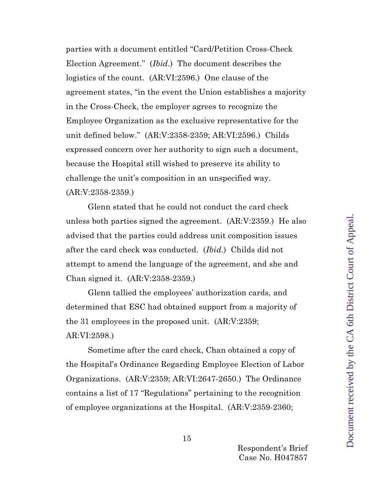parties with a document entitled "Card/Petition Cross-Check Election Agreement." (*Ibid.*) The document describes the logistics of the count. (AR:VI:2596.) One clause of the agreement states, "in the event the Union establishes a majority in the Cross-Check, the employer agrees to recognize the Employee Organization as the exclusive representative for the unit defined below." (AR:V:2358-2359; AR:VI:2596.) Childs expressed concern over her authority to sign such a document, because the Hospital still wished to preserve its ability to challenge the unit's composition in an unspecified way. (AR:V:2358-2359.)

Glenn stated that he could not conduct the card check unless both parties signed the agreement. (AR:V:2359.) He also advised that the parties could address unit composition issues after the card check was conducted. (*Ibid.*) Childs did not attempt to amend the language of the agreement, and she and Chan signed it. (AR:V:2358-2359.)

Glenn tallied the employees' authorization cards, and determined that ESC had obtained support from a majority of the 31 employees in the proposed unit. (AR:V:2359; AR:VI:2598.)

Sometime after the card check, Chan obtained a copy of the Hospital's Ordinance Regarding Employee Election of Labor Organizations. (AR:V:2359; AR:VI:2647-2650.) The Ordinance contains a list of 17 "Regulations" pertaining to the recognition of employee organizations at the Hospital. (AR:V:2359-2360;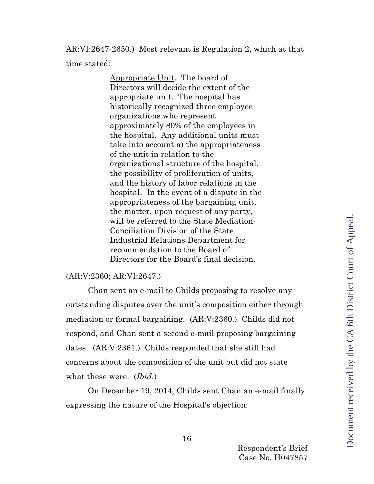AR:VI:2647-2650.) Most relevant is Regulation 2, which at that time stated:

> Appropriate Unit. The board of Directors will decide the extent of the appropriate unit. The hospital has historically recognized three employee organizations who represent approximately 80% of the employees in the hospital. Any additional units must take into account a) the appropriateness of the unit in relation to the organizational structure of the hospital, the possibility of proliferation of units, and the history of labor relations in the hospital. In the event of a dispute in the appropriateness of the bargaining unit, the matter, upon request of any party, will be referred to the State Mediation-Conciliation Division of the State Industrial Relations Department for recommendation to the Board of Directors for the Board's final decision.

#### (AR:V:2360; AR:VI:2647.)

Chan sent an e-mail to Childs proposing to resolve any outstanding disputes over the unit's composition either through mediation or formal bargaining. (AR:V:2360.) Childs did not respond, and Chan sent a second e-mail proposing bargaining dates. (AR:V:2361.) Childs responded that she still had concerns about the composition of the unit but did not state what these were. (*Ibid.*)

On December 19, 2014, Childs sent Chan an e-mail finally expressing the nature of the Hospital's objection: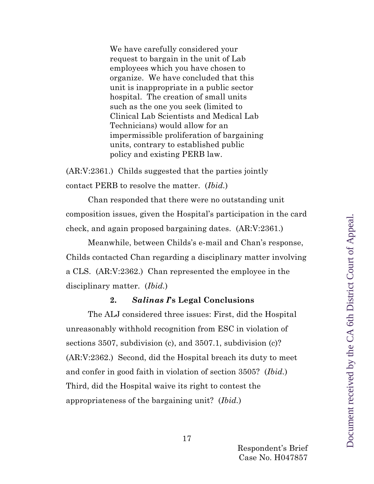We have carefully considered your request to bargain in the unit of Lab employees which you have chosen to organize. We have concluded that this unit is inappropriate in a public sector hospital. The creation of small units such as the one you seek (limited to Clinical Lab Scientists and Medical Lab Technicians) would allow for an impermissible proliferation of bargaining units, contrary to established public policy and existing PERB law.

(AR:V:2361.) Childs suggested that the parties jointly contact PERB to resolve the matter. (*Ibid.*)

Chan responded that there were no outstanding unit composition issues, given the Hospital's participation in the card check, and again proposed bargaining dates. (AR:V:2361.)

Meanwhile, between Childs's e-mail and Chan's response, Childs contacted Chan regarding a disciplinary matter involving a CLS. (AR:V:2362.) Chan represented the employee in the disciplinary matter. (*Ibid.*)

## **2.** *Salinas I***'s Legal Conclusions**

The ALJ considered three issues: First, did the Hospital unreasonably withhold recognition from ESC in violation of sections 3507, subdivision (c), and 3507.1, subdivision (c)? (AR:V:2362.) Second, did the Hospital breach its duty to meet and confer in good faith in violation of section 3505? (*Ibid.*) Third, did the Hospital waive its right to contest the appropriateness of the bargaining unit? (*Ibid.*)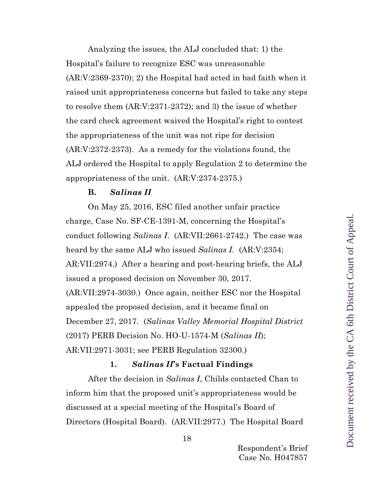Analyzing the issues, the ALJ concluded that: 1) the Hospital's failure to recognize ESC was unreasonable (AR:V:2369-2370); 2) the Hospital had acted in bad faith when it raised unit appropriateness concerns but failed to take any steps to resolve them (AR:V:2371-2372); and 3) the issue of whether the card check agreement waived the Hospital's right to contest the appropriateness of the unit was not ripe for decision (AR:V:2372-2373). As a remedy for the violations found, the ALJ ordered the Hospital to apply Regulation 2 to determine the appropriateness of the unit. (AR:V:2374-2375.)

#### **B.** *Salinas II*

<span id="page-17-0"></span>On May 25, 2016, ESC filed another unfair practice charge, Case No. SF-CE-1391-M, concerning the Hospital's conduct following *Salinas I*. (AR:VII:2661-2742.) The case was heard by the same ALJ who issued *Salinas I.* (AR:V:2354; AR:VII:2974.) After a hearing and post-hearing briefs, the ALJ issued a proposed decision on November 30, 2017. (AR:VII:2974-3030.) Once again, neither ESC nor the Hospital appealed the proposed decision, and it became final on December 27, 2017. (*Salinas Valley Memorial Hospital District* (2017) PERB Decision No. HO-U-1574-M (*Salinas II*); AR:VII:2971-3031; see PERB Regulation 32300.)

#### **1.** *Salinas II***'s Factual Findings**

After the decision in *Salinas I*, Childs contacted Chan to inform him that the proposed unit's appropriateness would be discussed at a special meeting of the Hospital's Board of Directors (Hospital Board). (AR:VII:2977.) The Hospital Board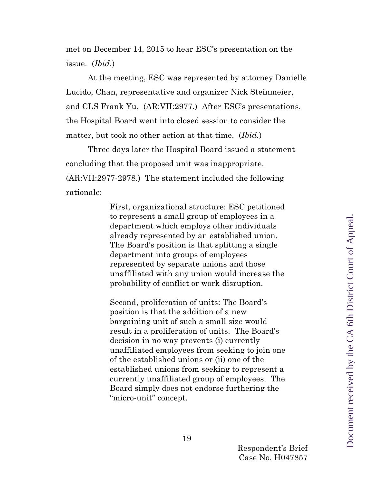met on December 14, 2015 to hear ESC's presentation on the issue. (*Ibid.*)

At the meeting, ESC was represented by attorney Danielle Lucido, Chan, representative and organizer Nick Steinmeier, and CLS Frank Yu. (AR:VII:2977.) After ESC's presentations, the Hospital Board went into closed session to consider the matter, but took no other action at that time. (*Ibid.*)

Three days later the Hospital Board issued a statement concluding that the proposed unit was inappropriate. (AR:VII:2977-2978.) The statement included the following rationale:

> First, organizational structure: ESC petitioned to represent a small group of employees in a department which employs other individuals already represented by an established union. The Board's position is that splitting a single department into groups of employees represented by separate unions and those unaffiliated with any union would increase the probability of conflict or work disruption.

> Second, proliferation of units: The Board's position is that the addition of a new bargaining unit of such a small size would result in a proliferation of units. The Board's decision in no way prevents (i) currently unaffiliated employees from seeking to join one of the established unions or (ii) one of the established unions from seeking to represent a currently unaffiliated group of employees. The Board simply does not endorse furthering the "micro-unit" concept.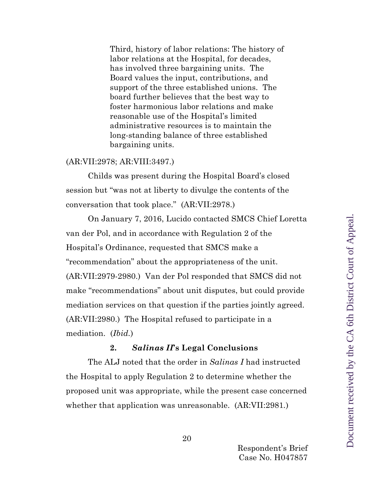Third, history of labor relations: The history of labor relations at the Hospital, for decades, has involved three bargaining units. The Board values the input, contributions, and support of the three established unions. The board further believes that the best way to foster harmonious labor relations and make reasonable use of the Hospital's limited administrative resources is to maintain the long-standing balance of three established bargaining units.

#### (AR:VII:2978; AR:VIII:3497.)

Childs was present during the Hospital Board's closed session but "was not at liberty to divulge the contents of the conversation that took place." (AR:VII:2978.)

On January 7, 2016, Lucido contacted SMCS Chief Loretta van der Pol, and in accordance with Regulation 2 of the Hospital's Ordinance, requested that SMCS make a "recommendation" about the appropriateness of the unit. (AR:VII:2979-2980.) Van der Pol responded that SMCS did not make "recommendations" about unit disputes, but could provide mediation services on that question if the parties jointly agreed. (AR:VII:2980.) The Hospital refused to participate in a mediation. (*Ibid.*)

#### **2.** *Salinas II***'s Legal Conclusions**

The ALJ noted that the order in *Salinas I* had instructed the Hospital to apply Regulation 2 to determine whether the proposed unit was appropriate, while the present case concerned whether that application was unreasonable. (AR:VII:2981*.*)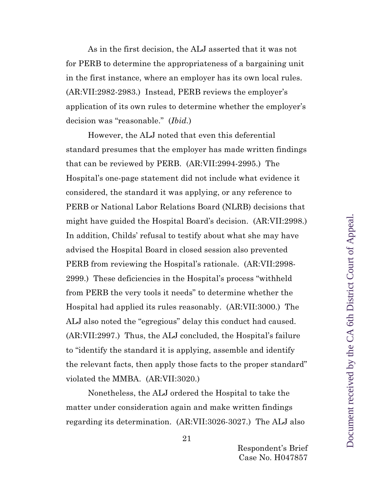As in the first decision, the ALJ asserted that it was not for PERB to determine the appropriateness of a bargaining unit in the first instance, where an employer has its own local rules. (AR:VII:2982-2983.) Instead, PERB reviews the employer's application of its own rules to determine whether the employer's decision was "reasonable." (*Ibid.*)

However, the ALJ noted that even this deferential standard presumes that the employer has made written findings that can be reviewed by PERB. (AR:VII:2994-2995.) The Hospital's one-page statement did not include what evidence it considered, the standard it was applying, or any reference to PERB or National Labor Relations Board (NLRB) decisions that might have guided the Hospital Board's decision. (AR:VII:2998.) In addition, Childs' refusal to testify about what she may have advised the Hospital Board in closed session also prevented PERB from reviewing the Hospital's rationale. (AR:VII:2998- 2999.) These deficiencies in the Hospital's process "withheld from PERB the very tools it needs" to determine whether the Hospital had applied its rules reasonably. (AR:VII:3000.) The ALJ also noted the "egregious" delay this conduct had caused. (AR:VII:2997.) Thus, the ALJ concluded, the Hospital's failure to "identify the standard it is applying, assemble and identify the relevant facts, then apply those facts to the proper standard" violated the MMBA. (AR:VII:3020.)

Nonetheless, the ALJ ordered the Hospital to take the matter under consideration again and make written findings regarding its determination. (AR:VII:3026-3027.) The ALJ also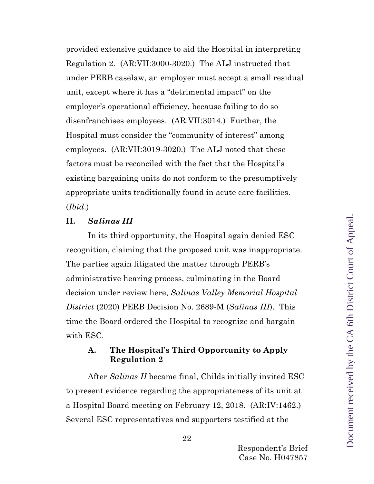provided extensive guidance to aid the Hospital in interpreting Regulation 2. (AR:VII:3000-3020.) The ALJ instructed that under PERB caselaw, an employer must accept a small residual unit, except where it has a "detrimental impact" on the employer's operational efficiency, because failing to do so disenfranchises employees. (AR:VII:3014.) Further, the Hospital must consider the "community of interest" among employees. (AR:VII:3019-3020.) The ALJ noted that these factors must be reconciled with the fact that the Hospital's existing bargaining units do not conform to the presumptively appropriate units traditionally found in acute care facilities. (*Ibid*.)

#### <span id="page-21-0"></span>**II.** *Salinas III*

In its third opportunity, the Hospital again denied ESC recognition, claiming that the proposed unit was inappropriate. The parties again litigated the matter through PERB's administrative hearing process, culminating in the Board decision under review here, *Salinas Valley Memorial Hospital District* (2020) PERB Decision No. 2689-M (*Salinas III*). This time the Board ordered the Hospital to recognize and bargain with ESC.

## <span id="page-21-1"></span>**A. The Hospital's Third Opportunity to Apply Regulation 2**

After *Salinas II* became final, Childs initially invited ESC to present evidence regarding the appropriateness of its unit at a Hospital Board meeting on February 12, 2018. (AR:IV:1462.) Several ESC representatives and supporters testified at the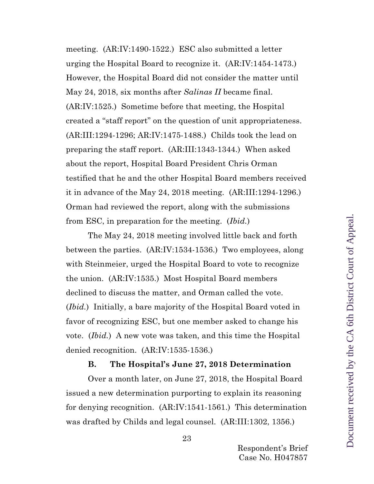meeting. (AR:IV:1490-1522.) ESC also submitted a letter urging the Hospital Board to recognize it. (AR:IV:1454-1473.) However, the Hospital Board did not consider the matter until May 24, 2018, six months after *Salinas II* became final. (AR:IV:1525.) Sometime before that meeting, the Hospital created a "staff report" on the question of unit appropriateness. (AR:III:1294-1296; AR:IV:1475-1488.) Childs took the lead on preparing the staff report. (AR:III:1343-1344.) When asked about the report, Hospital Board President Chris Orman testified that he and the other Hospital Board members received it in advance of the May 24, 2018 meeting. (AR:III:1294-1296.) Orman had reviewed the report, along with the submissions from ESC, in preparation for the meeting. (*Ibid.*)

The May 24, 2018 meeting involved little back and forth between the parties. (AR:IV:1534-1536.) Two employees, along with Steinmeier, urged the Hospital Board to vote to recognize the union. (AR:IV:1535.) Most Hospital Board members declined to discuss the matter, and Orman called the vote. (*Ibid.*) Initially, a bare majority of the Hospital Board voted in favor of recognizing ESC, but one member asked to change his vote. (*Ibid.*) A new vote was taken, and this time the Hospital denied recognition. (AR:IV:1535-1536.)

#### **B. The Hospital's June 27, 2018 Determination**

<span id="page-22-0"></span>Over a month later, on June 27, 2018, the Hospital Board issued a new determination purporting to explain its reasoning for denying recognition. (AR:IV:1541-1561.) This determination was drafted by Childs and legal counsel. (AR:III:1302, 1356.)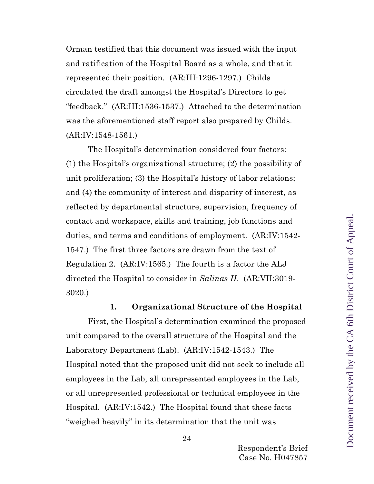Orman testified that this document was issued with the input and ratification of the Hospital Board as a whole, and that it represented their position. (AR:III:1296-1297.) Childs circulated the draft amongst the Hospital's Directors to get "feedback." (AR:III:1536-1537.) Attached to the determination was the aforementioned staff report also prepared by Childs. (AR:IV:1548-1561.)

The Hospital's determination considered four factors: (1) the Hospital's organizational structure; (2) the possibility of unit proliferation; (3) the Hospital's history of labor relations; and (4) the community of interest and disparity of interest, as reflected by departmental structure, supervision, frequency of contact and workspace, skills and training, job functions and duties, and terms and conditions of employment. (AR:IV:1542- 1547.) The first three factors are drawn from the text of Regulation 2. (AR:IV:1565.) The fourth is a factor the ALJ directed the Hospital to consider in *Salinas II*. (AR:VII:3019- 3020.)

#### **1. Organizational Structure of the Hospital**

First, the Hospital's determination examined the proposed unit compared to the overall structure of the Hospital and the Laboratory Department (Lab). (AR:IV:1542-1543.) The Hospital noted that the proposed unit did not seek to include all employees in the Lab, all unrepresented employees in the Lab, or all unrepresented professional or technical employees in the Hospital. (AR:IV:1542.) The Hospital found that these facts "weighed heavily" in its determination that the unit was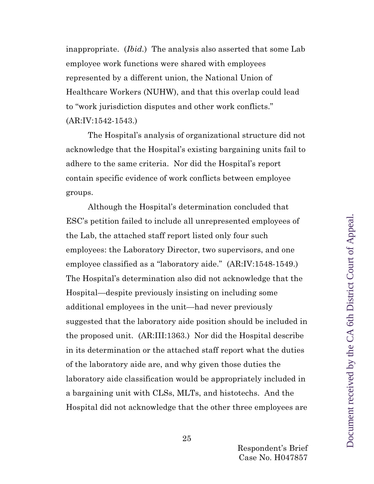inappropriate. (*Ibid.*) The analysis also asserted that some Lab employee work functions were shared with employees represented by a different union, the National Union of Healthcare Workers (NUHW), and that this overlap could lead to "work jurisdiction disputes and other work conflicts." (AR:IV:1542-1543.)

The Hospital's analysis of organizational structure did not acknowledge that the Hospital's existing bargaining units fail to adhere to the same criteria. Nor did the Hospital's report contain specific evidence of work conflicts between employee groups.

Although the Hospital's determination concluded that ESC's petition failed to include all unrepresented employees of the Lab, the attached staff report listed only four such employees: the Laboratory Director, two supervisors, and one employee classified as a "laboratory aide." (AR:IV:1548-1549.) The Hospital's determination also did not acknowledge that the Hospital—despite previously insisting on including some additional employees in the unit—had never previously suggested that the laboratory aide position should be included in the proposed unit. (AR:III:1363.) Nor did the Hospital describe in its determination or the attached staff report what the duties of the laboratory aide are, and why given those duties the laboratory aide classification would be appropriately included in a bargaining unit with CLSs, MLTs, and histotechs. And the Hospital did not acknowledge that the other three employees are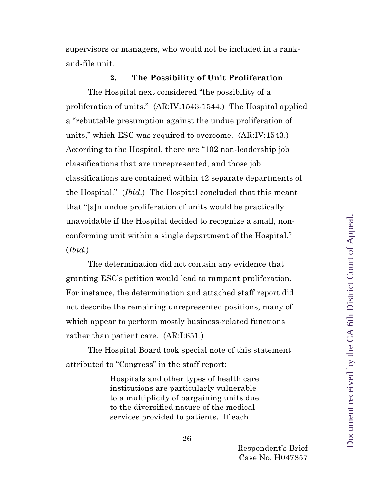supervisors or managers, who would not be included in a rankand-file unit.

#### **2. The Possibility of Unit Proliferation**

The Hospital next considered "the possibility of a proliferation of units." (AR:IV:1543-1544.) The Hospital applied a "rebuttable presumption against the undue proliferation of units," which ESC was required to overcome. (AR:IV:1543.) According to the Hospital, there are "102 non-leadership job classifications that are unrepresented, and those job classifications are contained within 42 separate departments of the Hospital." (*Ibid.*) The Hospital concluded that this meant that "[a]n undue proliferation of units would be practically unavoidable if the Hospital decided to recognize a small, nonconforming unit within a single department of the Hospital." (*Ibid.*)

The determination did not contain any evidence that granting ESC's petition would lead to rampant proliferation. For instance, the determination and attached staff report did not describe the remaining unrepresented positions, many of which appear to perform mostly business-related functions rather than patient care. (AR:I:651.)

The Hospital Board took special note of this statement attributed to "Congress" in the staff report:

> Hospitals and other types of health care institutions are particularly vulnerable to a multiplicity of bargaining units due to the diversified nature of the medical services provided to patients. If each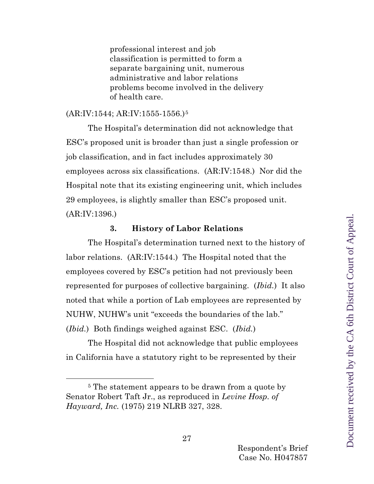professional interest and job classification is permitted to form a separate bargaining unit, numerous administrative and labor relations problems become involved in the delivery of health care.

#### (AR:IV:1544; AR:IV:1555-1556.)[5](#page-26-0)

The Hospital's determination did not acknowledge that ESC's proposed unit is broader than just a single profession or job classification, and in fact includes approximately 30 employees across six classifications. (AR:IV:1548.) Nor did the Hospital note that its existing engineering unit, which includes 29 employees, is slightly smaller than ESC's proposed unit. (AR:IV:1396.)

#### **3. History of Labor Relations**

The Hospital's determination turned next to the history of labor relations. (AR:IV:1544.) The Hospital noted that the employees covered by ESC's petition had not previously been represented for purposes of collective bargaining. (*Ibid.*) It also noted that while a portion of Lab employees are represented by NUHW, NUHW's unit "exceeds the boundaries of the lab." (*Ibid.*) Both findings weighed against ESC. (*Ibid.*)

The Hospital did not acknowledge that public employees in California have a statutory right to be represented by their

<span id="page-26-0"></span><sup>&</sup>lt;sup>5</sup> The statement appears to be drawn from a quote by Senator Robert Taft Jr., as reproduced in *Levine Hosp. of Hayward, Inc.* (1975) 219 NLRB 327, 328.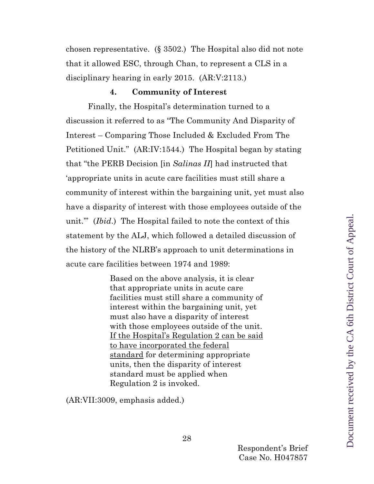chosen representative. (§ 3502.) The Hospital also did not note that it allowed ESC, through Chan, to represent a CLS in a disciplinary hearing in early 2015. (AR:V:2113.)

#### **4. Community of Interest**

Finally, the Hospital's determination turned to a discussion it referred to as "The Community And Disparity of Interest – Comparing Those Included & Excluded From The Petitioned Unit." (AR:IV:1544.) The Hospital began by stating that "the PERB Decision [in *Salinas II*] had instructed that 'appropriate units in acute care facilities must still share a community of interest within the bargaining unit, yet must also have a disparity of interest with those employees outside of the unit.'" (*Ibid*.) The Hospital failed to note the context of this statement by the ALJ, which followed a detailed discussion of the history of the NLRB's approach to unit determinations in acute care facilities between 1974 and 1989:

> Based on the above analysis, it is clear that appropriate units in acute care facilities must still share a community of interest within the bargaining unit, yet must also have a disparity of interest with those employees outside of the unit. If the Hospital's Regulation 2 can be said to have incorporated the federal standard for determining appropriate units, then the disparity of interest standard must be applied when Regulation 2 is invoked.

(AR:VII:3009, emphasis added.)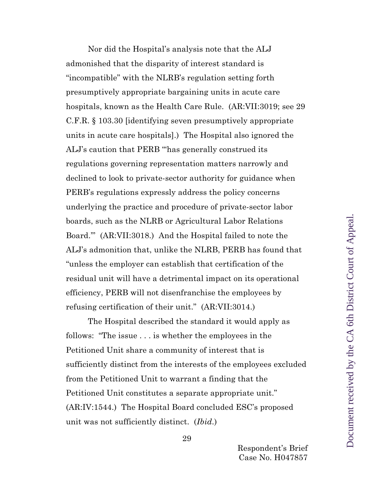Nor did the Hospital's analysis note that the ALJ admonished that the disparity of interest standard is "incompatible" with the NLRB's regulation setting forth presumptively appropriate bargaining units in acute care hospitals, known as the Health Care Rule. (AR:VII:3019; see 29 C.F.R. § 103.30 [identifying seven presumptively appropriate units in acute care hospitals].) The Hospital also ignored the ALJ's caution that PERB "'has generally construed its regulations governing representation matters narrowly and declined to look to private-sector authority for guidance when PERB's regulations expressly address the policy concerns underlying the practice and procedure of private-sector labor boards, such as the NLRB or Agricultural Labor Relations Board.'" (AR:VII:3018.) And the Hospital failed to note the ALJ's admonition that, unlike the NLRB, PERB has found that "unless the employer can establish that certification of the residual unit will have a detrimental impact on its operational efficiency, PERB will not disenfranchise the employees by refusing certification of their unit." (AR:VII:3014.)

The Hospital described the standard it would apply as follows: "The issue . . . is whether the employees in the Petitioned Unit share a community of interest that is sufficiently distinct from the interests of the employees excluded from the Petitioned Unit to warrant a finding that the Petitioned Unit constitutes a separate appropriate unit." (AR:IV:1544.) The Hospital Board concluded ESC's proposed unit was not sufficiently distinct. (*Ibid*.)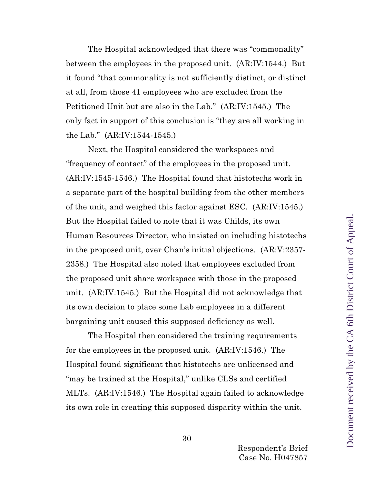The Hospital acknowledged that there was "commonality" between the employees in the proposed unit. (AR:IV:1544.) But it found "that commonality is not sufficiently distinct, or distinct at all, from those 41 employees who are excluded from the Petitioned Unit but are also in the Lab." (AR:IV:1545.) The only fact in support of this conclusion is "they are all working in the Lab." (AR:IV:1544-1545.)

Next, the Hospital considered the workspaces and "frequency of contact" of the employees in the proposed unit. (AR:IV:1545-1546.) The Hospital found that histotechs work in a separate part of the hospital building from the other members of the unit, and weighed this factor against ESC. (AR:IV:1545.) But the Hospital failed to note that it was Childs, its own Human Resources Director, who insisted on including histotechs in the proposed unit, over Chan's initial objections. (AR:V:2357- 2358.) The Hospital also noted that employees excluded from the proposed unit share workspace with those in the proposed unit. (AR:IV:1545*.*) But the Hospital did not acknowledge that its own decision to place some Lab employees in a different bargaining unit caused this supposed deficiency as well.

The Hospital then considered the training requirements for the employees in the proposed unit. (AR:IV:1546.) The Hospital found significant that histotechs are unlicensed and "may be trained at the Hospital," unlike CLSs and certified MLTs. (AR:IV:1546.) The Hospital again failed to acknowledge its own role in creating this supposed disparity within the unit.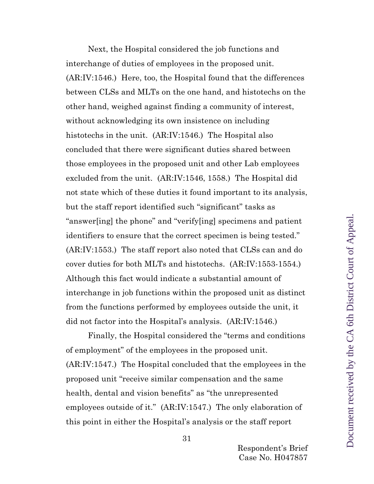Next, the Hospital considered the job functions and interchange of duties of employees in the proposed unit. (AR:IV:1546.) Here, too, the Hospital found that the differences between CLSs and MLTs on the one hand, and histotechs on the other hand, weighed against finding a community of interest, without acknowledging its own insistence on including histotechs in the unit. (AR:IV:1546.) The Hospital also concluded that there were significant duties shared between those employees in the proposed unit and other Lab employees excluded from the unit. (AR:IV:1546, 1558.) The Hospital did not state which of these duties it found important to its analysis, but the staff report identified such "significant" tasks as "answer[ing] the phone" and "verify[ing] specimens and patient identifiers to ensure that the correct specimen is being tested." (AR:IV:1553.) The staff report also noted that CLSs can and do cover duties for both MLTs and histotechs. (AR:IV:1553-1554.) Although this fact would indicate a substantial amount of interchange in job functions within the proposed unit as distinct from the functions performed by employees outside the unit, it did not factor into the Hospital's analysis. (AR:IV:1546.)

Finally, the Hospital considered the "terms and conditions of employment" of the employees in the proposed unit. (AR:IV:1547.) The Hospital concluded that the employees in the proposed unit "receive similar compensation and the same health, dental and vision benefits" as "the unrepresented employees outside of it." (AR:IV:1547.) The only elaboration of this point in either the Hospital's analysis or the staff report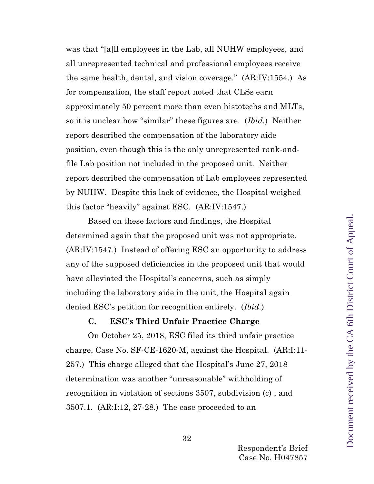was that "[a]ll employees in the Lab, all NUHW employees, and all unrepresented technical and professional employees receive the same health, dental, and vision coverage." (AR:IV:1554.) As for compensation, the staff report noted that CLSs earn approximately 50 percent more than even histotechs and MLTs, so it is unclear how "similar" these figures are. (*Ibid.*) Neither report described the compensation of the laboratory aide position, even though this is the only unrepresented rank-andfile Lab position not included in the proposed unit. Neither report described the compensation of Lab employees represented by NUHW. Despite this lack of evidence, the Hospital weighed this factor "heavily" against ESC. (AR:IV:1547.)

Based on these factors and findings, the Hospital determined again that the proposed unit was not appropriate. (AR:IV:1547.) Instead of offering ESC an opportunity to address any of the supposed deficiencies in the proposed unit that would have alleviated the Hospital's concerns, such as simply including the laboratory aide in the unit, the Hospital again denied ESC's petition for recognition entirely. (*Ibid.*)

#### **C. ESC's Third Unfair Practice Charge**

<span id="page-31-0"></span>On October 25, 2018, ESC filed its third unfair practice charge, Case No. SF-CE-1620-M, against the Hospital. (AR:I:11- 257.) This charge alleged that the Hospital's June 27, 2018 determination was another "unreasonable" withholding of recognition in violation of sections 3507, subdivision (c) , and 3507.1. (AR:I:12, 27-28.) The case proceeded to an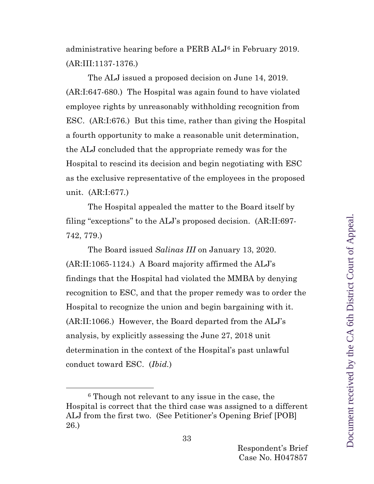administrative hearing before a PERB ALJ[6](#page-32-0) in February 2019. (AR:III:1137-1376.)

The ALJ issued a proposed decision on June 14, 2019. (AR:I:647-680.) The Hospital was again found to have violated employee rights by unreasonably withholding recognition from ESC. (AR:I:676.) But this time, rather than giving the Hospital a fourth opportunity to make a reasonable unit determination, the ALJ concluded that the appropriate remedy was for the Hospital to rescind its decision and begin negotiating with ESC as the exclusive representative of the employees in the proposed unit. (AR:I:677*.*)

The Hospital appealed the matter to the Board itself by filing "exceptions" to the ALJ's proposed decision. (AR:II:697- 742, 779.)

The Board issued *Salinas III* on January 13, 2020. (AR:II:1065-1124.) A Board majority affirmed the ALJ's findings that the Hospital had violated the MMBA by denying recognition to ESC, and that the proper remedy was to order the Hospital to recognize the union and begin bargaining with it. (AR:II:1066.) However, the Board departed from the ALJ's analysis, by explicitly assessing the June 27, 2018 unit determination in the context of the Hospital's past unlawful conduct toward ESC. (*Ibid.*)

Document received by the CA 6th District Court of Appeal.Document received by the CA 6th District Court of Appeal

<span id="page-32-0"></span><sup>6</sup> Though not relevant to any issue in the case, the Hospital is correct that the third case was assigned to a different ALJ from the first two. (See Petitioner's Opening Brief [POB] 26.)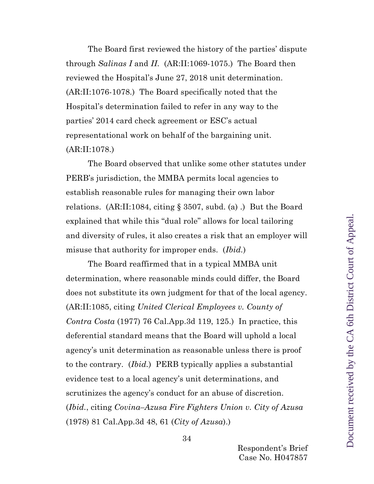The Board first reviewed the history of the parties' dispute through *Salinas I* and *II*. (AR:II:1069-1075.) The Board then reviewed the Hospital's June 27, 2018 unit determination. (AR:II:1076-1078.) The Board specifically noted that the Hospital's determination failed to refer in any way to the parties' 2014 card check agreement or ESC's actual representational work on behalf of the bargaining unit. (AR:II:1078.)

The Board observed that unlike some other statutes under PERB's jurisdiction, the MMBA permits local agencies to establish reasonable rules for managing their own labor relations. (AR:II:1084, citing  $\S 3507$ , subd. (a) .) But the Board explained that while this "dual role" allows for local tailoring and diversity of rules, it also creates a risk that an employer will misuse that authority for improper ends. (*Ibid.*)

The Board reaffirmed that in a typical MMBA unit determination, where reasonable minds could differ, the Board does not substitute its own judgment for that of the local agency. (AR:II:1085, citing *United Clerical Employees v. County of Contra Costa* (1977) 76 Cal.App.3d 119, 125.) In practice, this deferential standard means that the Board will uphold a local agency's unit determination as reasonable unless there is proof to the contrary. (*Ibid.*) PERB typically applies a substantial evidence test to a local agency's unit determinations, and scrutinizes the agency's conduct for an abuse of discretion. (*Ibid.*, citing *Covina–Azusa Fire Fighters Union v. City of Azusa*  (1978) 81 Cal.App.3d 48, 61 (*City of Azusa*).)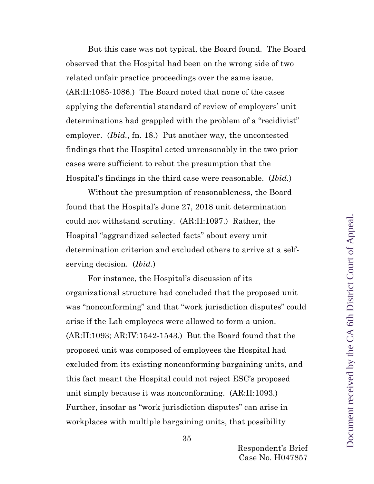But this case was not typical, the Board found. The Board observed that the Hospital had been on the wrong side of two related unfair practice proceedings over the same issue. (AR:II:1085-1086.) The Board noted that none of the cases applying the deferential standard of review of employers' unit determinations had grappled with the problem of a "recidivist" employer. (*Ibid.*, fn. 18.) Put another way, the uncontested findings that the Hospital acted unreasonably in the two prior cases were sufficient to rebut the presumption that the Hospital's findings in the third case were reasonable. (*Ibid.*)

Without the presumption of reasonableness, the Board found that the Hospital's June 27, 2018 unit determination could not withstand scrutiny. (AR:II:1097.) Rather, the Hospital "aggrandized selected facts" about every unit determination criterion and excluded others to arrive at a selfserving decision. (*Ibid*.)

For instance, the Hospital's discussion of its organizational structure had concluded that the proposed unit was "nonconforming" and that "work jurisdiction disputes" could arise if the Lab employees were allowed to form a union. (AR:II:1093; AR:IV:1542-1543.) But the Board found that the proposed unit was composed of employees the Hospital had excluded from its existing nonconforming bargaining units, and this fact meant the Hospital could not reject ESC's proposed unit simply because it was nonconforming. (AR:II:1093.) Further, insofar as "work jurisdiction disputes" can arise in workplaces with multiple bargaining units, that possibility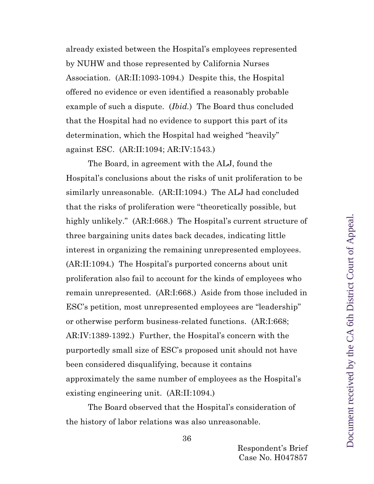already existed between the Hospital's employees represented by NUHW and those represented by California Nurses Association. (AR:II:1093-1094.) Despite this, the Hospital offered no evidence or even identified a reasonably probable example of such a dispute. (*Ibid.*) The Board thus concluded that the Hospital had no evidence to support this part of its determination, which the Hospital had weighed "heavily" against ESC. (AR:II:1094; AR:IV:1543*.*)

The Board, in agreement with the ALJ, found the Hospital's conclusions about the risks of unit proliferation to be similarly unreasonable. (AR:II:1094.) The ALJ had concluded that the risks of proliferation were "theoretically possible, but highly unlikely." (AR:I:668.) The Hospital's current structure of three bargaining units dates back decades, indicating little interest in organizing the remaining unrepresented employees. (AR:II:1094*.*) The Hospital's purported concerns about unit proliferation also fail to account for the kinds of employees who remain unrepresented. (AR:I:668.) Aside from those included in ESC's petition, most unrepresented employees are "leadership" or otherwise perform business-related functions. (AR:I:668; AR:IV:1389-1392.) Further, the Hospital's concern with the purportedly small size of ESC's proposed unit should not have been considered disqualifying, because it contains approximately the same number of employees as the Hospital's existing engineering unit. (AR:II:1094.)

The Board observed that the Hospital's consideration of the history of labor relations was also unreasonable.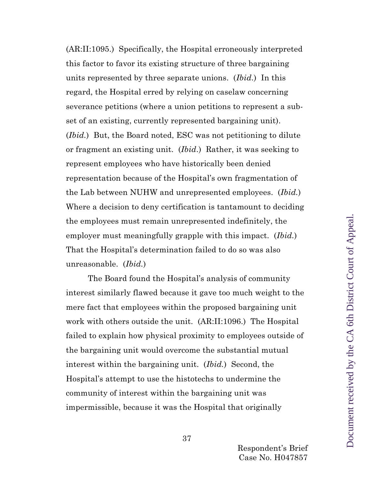(AR:II:1095.) Specifically, the Hospital erroneously interpreted this factor to favor its existing structure of three bargaining units represented by three separate unions. (*Ibid*.) In this regard, the Hospital erred by relying on caselaw concerning severance petitions (where a union petitions to represent a subset of an existing, currently represented bargaining unit). (*Ibid.*) But, the Board noted, ESC was not petitioning to dilute or fragment an existing unit. (*Ibid*.) Rather, it was seeking to represent employees who have historically been denied representation because of the Hospital's own fragmentation of the Lab between NUHW and unrepresented employees. (*Ibid.*) Where a decision to deny certification is tantamount to deciding the employees must remain unrepresented indefinitely, the employer must meaningfully grapple with this impact. (*Ibid.*) That the Hospital's determination failed to do so was also unreasonable. (*Ibid.*)

The Board found the Hospital's analysis of community interest similarly flawed because it gave too much weight to the mere fact that employees within the proposed bargaining unit work with others outside the unit. (AR:II:1096.) The Hospital failed to explain how physical proximity to employees outside of the bargaining unit would overcome the substantial mutual interest within the bargaining unit. (*Ibid.*) Second, the Hospital's attempt to use the histotechs to undermine the community of interest within the bargaining unit was impermissible, because it was the Hospital that originally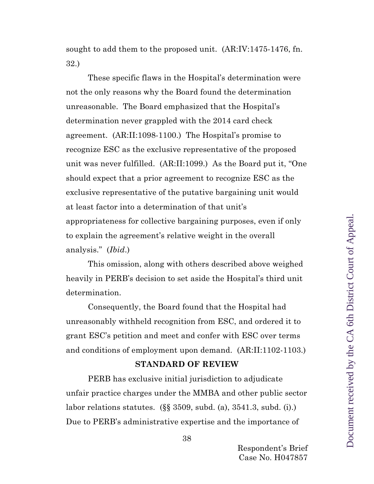sought to add them to the proposed unit. (AR:IV:1475-1476, fn. 32.)

These specific flaws in the Hospital's determination were not the only reasons why the Board found the determination unreasonable. The Board emphasized that the Hospital's determination never grappled with the 2014 card check agreement. (AR:II:1098-1100.) The Hospital's promise to recognize ESC as the exclusive representative of the proposed unit was never fulfilled. (AR:II:1099.) As the Board put it, "One should expect that a prior agreement to recognize ESC as the exclusive representative of the putative bargaining unit would at least factor into a determination of that unit's appropriateness for collective bargaining purposes, even if only to explain the agreement's relative weight in the overall analysis." (*Ibid*.)

This omission, along with others described above weighed heavily in PERB's decision to set aside the Hospital's third unit determination.

Consequently, the Board found that the Hospital had unreasonably withheld recognition from ESC, and ordered it to grant ESC's petition and meet and confer with ESC over terms and conditions of employment upon demand. (AR:II:1102-1103.)

#### **STANDARD OF REVIEW**

<span id="page-37-0"></span>PERB has exclusive initial jurisdiction to adjudicate unfair practice charges under the MMBA and other public sector labor relations statutes. (§§ 3509, subd. (a), 3541.3, subd. (i).) Due to PERB's administrative expertise and the importance of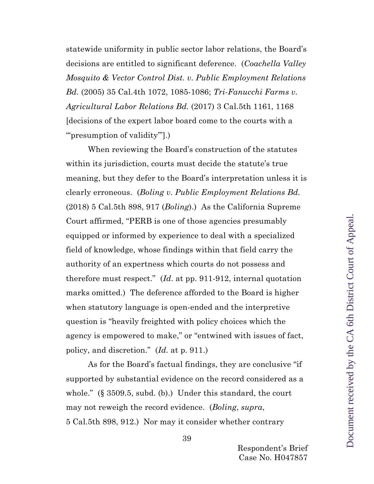statewide uniformity in public sector labor relations, the Board's decisions are entitled to significant deference. (*Coachella Valley Mosquito & Vector Control Dist. v. Public Employment Relations Bd.* (2005) 35 Cal.4th 1072, 1085-1086; *Tri-Fanucchi Farms v. Agricultural Labor Relations Bd.* (2017) 3 Cal.5th 1161, 1168 [decisions of the expert labor board come to the courts with a ""presumption of validity".)

When reviewing the Board's construction of the statutes within its jurisdiction, courts must decide the statute's true meaning, but they defer to the Board's interpretation unless it is clearly erroneous. (*Boling v. Public Employment Relations Bd.* (2018) 5 Cal.5th 898, 917 (*Boling*).) As the California Supreme Court affirmed, "PERB is one of those agencies presumably equipped or informed by experience to deal with a specialized field of knowledge, whose findings within that field carry the authority of an expertness which courts do not possess and therefore must respect." (*Id*. at pp. 911-912, internal quotation marks omitted.) The deference afforded to the Board is higher when statutory language is open-ended and the interpretive question is "heavily freighted with policy choices which the agency is empowered to make," or "entwined with issues of fact, policy, and discretion." (*Id.* at p. 911.)

As for the Board's factual findings, they are conclusive "if supported by substantial evidence on the record considered as a whole." (§ 3509.5, subd. (b).) Under this standard, the court may not reweigh the record evidence. (*Boling*, *supra*, 5 Cal.5th 898, 912.) Nor may it consider whether contrary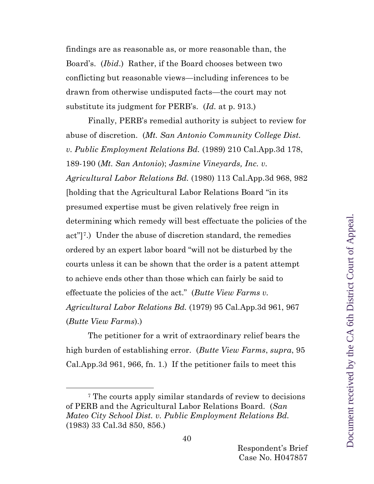findings are as reasonable as, or more reasonable than, the Board's. (*Ibid*.) Rather, if the Board chooses between two conflicting but reasonable views—including inferences to be drawn from otherwise undisputed facts—the court may not substitute its judgment for PERB's. (*Id.* at p. 913.)

Finally, PERB's remedial authority is subject to review for abuse of discretion. (*Mt. San Antonio Community College Dist. v. Public Employment Relations Bd.* (1989) 210 Cal.App.3d 178, 189-190 (*Mt. San Antonio*); *Jasmine Vineyards, Inc. v. Agricultural Labor Relations Bd.* (1980) 113 Cal.App.3d 968, 982 [holding that the Agricultural Labor Relations Board "in its presumed expertise must be given relatively free reign in determining which remedy will best effectuate the policies of the act"][7](#page-39-0).) Under the abuse of discretion standard, the remedies ordered by an expert labor board "will not be disturbed by the courts unless it can be shown that the order is a patent attempt to achieve ends other than those which can fairly be said to effectuate the policies of the act." (*Butte View Farms v. Agricultural Labor Relations Bd.* (1979) 95 Cal.App.3d 961, 967 (*Butte View Farms*).)

The petitioner for a writ of extraordinary relief bears the high burden of establishing error. (*Butte View Farms*, *supra*, 95 Cal.App.3d 961, 966, fn. 1.) If the petitioner fails to meet this

<span id="page-39-0"></span><sup>7</sup> The courts apply similar standards of review to decisions of PERB and the Agricultural Labor Relations Board. (*San Mateo City School Dist. v. Public Employment Relations Bd.*  (1983) 33 Cal.3d 850, 856.)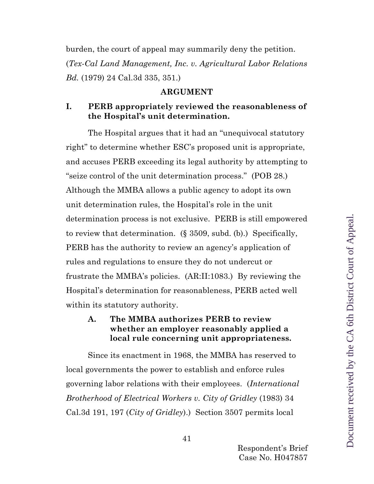burden, the court of appeal may summarily deny the petition. (*Tex-Cal Land Management, Inc. v. Agricultural Labor Relations Bd.* (1979) 24 Cal.3d 335, 351.)

#### **ARGUMENT**

## <span id="page-40-1"></span><span id="page-40-0"></span>**I. PERB appropriately reviewed the reasonableness of the Hospital's unit determination.**

The Hospital argues that it had an "unequivocal statutory right" to determine whether ESC's proposed unit is appropriate, and accuses PERB exceeding its legal authority by attempting to "seize control of the unit determination process." (POB 28.) Although the MMBA allows a public agency to adopt its own unit determination rules, the Hospital's role in the unit determination process is not exclusive. PERB is still empowered to review that determination. (§ 3509, subd. (b).) Specifically, PERB has the authority to review an agency's application of rules and regulations to ensure they do not undercut or frustrate the MMBA's policies. (AR:II:1083.) By reviewing the Hospital's determination for reasonableness, PERB acted well within its statutory authority.

## <span id="page-40-2"></span>**A. The MMBA authorizes PERB to review whether an employer reasonably applied a local rule concerning unit appropriateness.**

Since its enactment in 1968, the MMBA has reserved to local governments the power to establish and enforce rules governing labor relations with their employees. (*International Brotherhood of Electrical Workers v. City of Gridley* (1983) 34 Cal.3d 191, 197 (*City of Gridley*).) Section 3507 permits local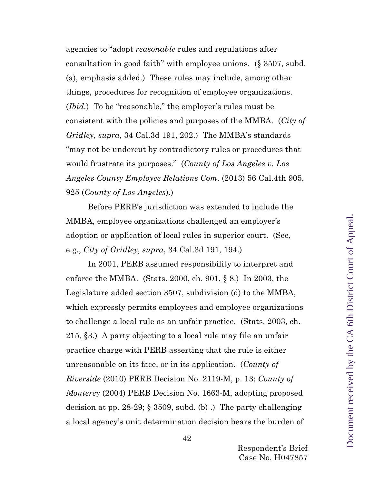agencies to "adopt *reasonable* rules and regulations after consultation in good faith" with employee unions. (§ 3507, subd. (a), emphasis added.) These rules may include, among other things, procedures for recognition of employee organizations. (*Ibid.*) To be "reasonable," the employer's rules must be consistent with the policies and purposes of the MMBA. (*City of Gridley*, *supra*, 34 Cal.3d 191, 202.) The MMBA's standards "may not be undercut by contradictory rules or procedures that would frustrate its purposes." (*County of Los Angeles v. Los Angeles County Employee Relations Com*. (2013) 56 Cal.4th 905, 925 (*County of Los Angeles*).)

Before PERB's jurisdiction was extended to include the MMBA, employee organizations challenged an employer's adoption or application of local rules in superior court. (See, e.g., *City of Gridley*, *supra*, 34 Cal.3d 191, 194.)

In 2001, PERB assumed responsibility to interpret and enforce the MMBA. (Stats. 2000, ch. 901, § 8.) In 2003, the Legislature added section 3507, subdivision (d) to the MMBA, which expressly permits employees and employee organizations to challenge a local rule as an unfair practice. (Stats. 2003, ch. 215, §3.) A party objecting to a local rule may file an unfair practice charge with PERB asserting that the rule is either unreasonable on its face, or in its application. (*County of Riverside* (2010) PERB Decision No. 2119-M, p. 13; *County of Monterey* (2004) PERB Decision No. 1663-M, adopting proposed decision at pp. 28-29; § 3509, subd. (b) .) The party challenging a local agency's unit determination decision bears the burden of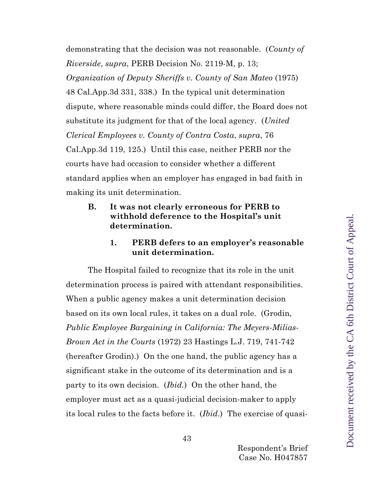demonstrating that the decision was not reasonable. (*County of Riverside*, *supra*, PERB Decision No. 2119-M, p. 13; *Organization of Deputy Sheriffs v. County of San Mateo* (1975) 48 Cal.App.3d 331, 338.) In the typical unit determination dispute, where reasonable minds could differ, the Board does not substitute its judgment for that of the local agency. (*United Clerical Employees v. County of Contra Costa*, *supra*, 76 Cal.App.3d 119, 125.) Until this case, neither PERB nor the courts have had occasion to consider whether a different standard applies when an employer has engaged in bad faith in making its unit determination.

<span id="page-42-0"></span>**B. It was not clearly erroneous for PERB to withhold deference to the Hospital's unit determination.**

#### **1. PERB defers to an employer's reasonable unit determination.**

The Hospital failed to recognize that its role in the unit determination process is paired with attendant responsibilities. When a public agency makes a unit determination decision based on its own local rules, it takes on a dual role. (Grodin, *Public Employee Bargaining in California: The Meyers-Milias-Brown Act in the Courts* (1972) 23 Hastings L.J. 719, 741-742 (hereafter Grodin).) On the one hand, the public agency has a significant stake in the outcome of its determination and is a party to its own decision. (*Ibid.*) On the other hand, the employer must act as a quasi-judicial decision-maker to apply its local rules to the facts before it. (*Ibid*.) The exercise of quasi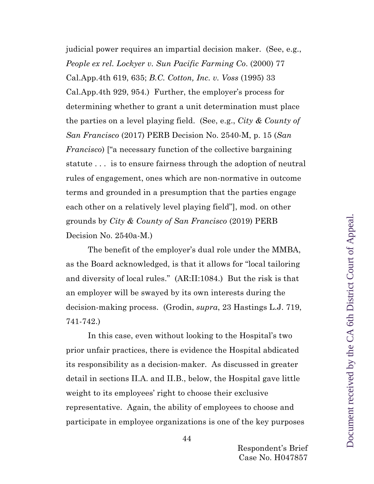judicial power requires an impartial decision maker. (See, e.g., *People ex rel. Lockyer v. Sun Pacific Farming Co*. (2000) 77 Cal.App.4th 619, 635; *B.C. Cotton, Inc. v. Voss* (1995) 33 Cal.App.4th 929, 954.) Further, the employer's process for determining whether to grant a unit determination must place the parties on a level playing field. (See, e.g., *City & County of San Francisco* (2017) PERB Decision No. 2540-M, p. 15 (*San Francisco*) ["a necessary function of the collective bargaining statute . . . is to ensure fairness through the adoption of neutral rules of engagement, ones which are non-normative in outcome terms and grounded in a presumption that the parties engage each other on a relatively level playing field"], mod. on other grounds by *City & County of San Francisco* (2019) PERB Decision No. 2540a-M.)

The benefit of the employer's dual role under the MMBA, as the Board acknowledged, is that it allows for "local tailoring and diversity of local rules." (AR:II:1084.) But the risk is that an employer will be swayed by its own interests during the decision-making process. (Grodin, *supra*, 23 Hastings L.J. 719, 741-742.)

In this case, even without looking to the Hospital's two prior unfair practices, there is evidence the Hospital abdicated its responsibility as a decision-maker. As discussed in greater detail in sections II.A. and II.B., below, the Hospital gave little weight to its employees' right to choose their exclusive representative. Again, the ability of employees to choose and participate in employee organizations is one of the key purposes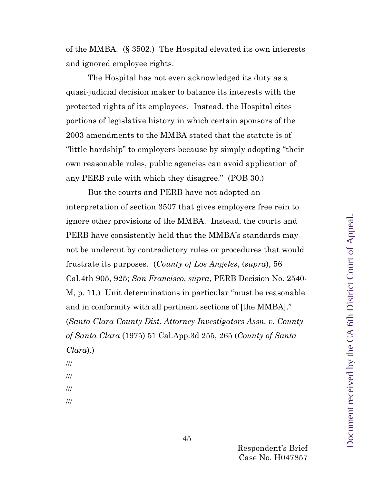of the MMBA. (§ 3502.) The Hospital elevated its own interests and ignored employee rights.

The Hospital has not even acknowledged its duty as a quasi-judicial decision maker to balance its interests with the protected rights of its employees. Instead, the Hospital cites portions of legislative history in which certain sponsors of the 2003 amendments to the MMBA stated that the statute is of "little hardship" to employers because by simply adopting "their own reasonable rules, public agencies can avoid application of any PERB rule with which they disagree." (POB 30.)

But the courts and PERB have not adopted an interpretation of section 3507 that gives employers free rein to ignore other provisions of the MMBA. Instead, the courts and PERB have consistently held that the MMBA's standards may not be undercut by contradictory rules or procedures that would frustrate its purposes. (*County of Los Angeles*, (*supra*), 56 Cal.4th 905, 925; *San Francisco*, *supra*, PERB Decision No. 2540- M, p. 11.) Unit determinations in particular "must be reasonable and in conformity with all pertinent sections of [the MMBA]." (*Santa Clara County Dist. Attorney Investigators Assn. v. County of Santa Clara* (1975) 51 Cal.App.3d 255, 265 (*County of Santa Clara*).)

- ///
- ///
- ///
- ///

Document received by the CA 6th District Court of Appeal.Document received by the CA 6th District Court of Appeal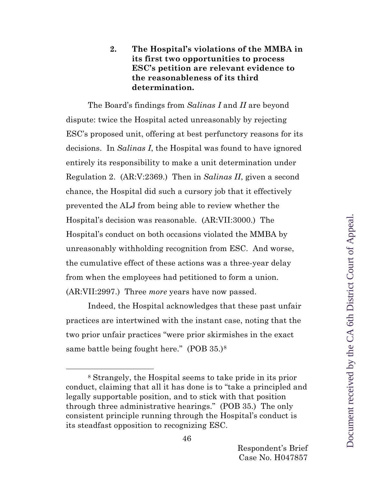## **2. The Hospital's violations of the MMBA in its first two opportunities to process ESC's petition are relevant evidence to the reasonableness of its third determination.**

The Board's findings from *Salinas I* and *II* are beyond dispute: twice the Hospital acted unreasonably by rejecting ESC's proposed unit, offering at best perfunctory reasons for its decisions. In *Salinas I*, the Hospital was found to have ignored entirely its responsibility to make a unit determination under Regulation 2. (AR:V:2369.) Then in *Salinas II*, given a second chance, the Hospital did such a cursory job that it effectively prevented the ALJ from being able to review whether the Hospital's decision was reasonable. (AR:VII:3000.) The Hospital's conduct on both occasions violated the MMBA by unreasonably withholding recognition from ESC. And worse, the cumulative effect of these actions was a three-year delay from when the employees had petitioned to form a union. (AR:VII:2997.) Three *more* years have now passed.

Indeed, the Hospital acknowledges that these past unfair practices are intertwined with the instant case, noting that the two prior unfair practices "were prior skirmishes in the exact same battle being fought here." (POB 35.)<sup>[8](#page-45-0)</sup>

<span id="page-45-0"></span><sup>8</sup> Strangely, the Hospital seems to take pride in its prior conduct, claiming that all it has done is to "take a principled and legally supportable position, and to stick with that position through three administrative hearings." (POB 35.) The only consistent principle running through the Hospital's conduct is its steadfast opposition to recognizing ESC.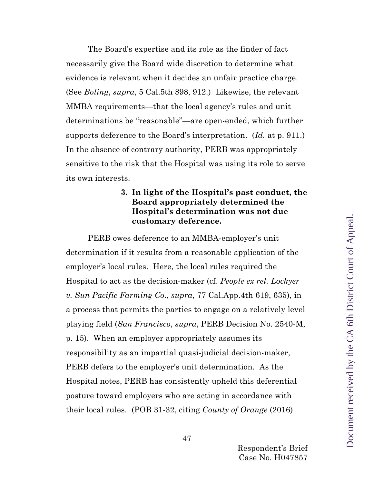The Board's expertise and its role as the finder of fact necessarily give the Board wide discretion to determine what evidence is relevant when it decides an unfair practice charge. (See *Boling*, *supra*, 5 Cal.5th 898, 912.) Likewise, the relevant MMBA requirements—that the local agency's rules and unit determinations be "reasonable"—are open-ended, which further supports deference to the Board's interpretation. (*Id.* at p. 911.) In the absence of contrary authority, PERB was appropriately sensitive to the risk that the Hospital was using its role to serve its own interests.

## **3. In light of the Hospital's past conduct, the Board appropriately determined the Hospital's determination was not due customary deference.**

PERB owes deference to an MMBA-employer's unit determination if it results from a reasonable application of the employer's local rules. Here, the local rules required the Hospital to act as the decision-maker (cf. *People ex rel. Lockyer v. Sun Pacific Farming Co*., *supra*, 77 Cal.App.4th 619, 635), in a process that permits the parties to engage on a relatively level playing field (*San Francisco*, *supra*, PERB Decision No. 2540-M, p. 15). When an employer appropriately assumes its responsibility as an impartial quasi-judicial decision-maker, PERB defers to the employer's unit determination. As the Hospital notes, PERB has consistently upheld this deferential posture toward employers who are acting in accordance with their local rules. (POB 31-32, citing *County of Orange* (2016)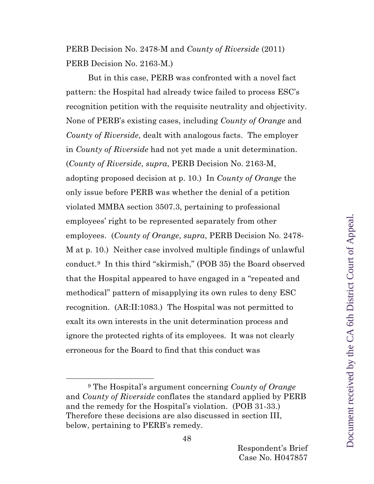PERB Decision No. 2478-M and *County of Riverside* (2011) PERB Decision No. 2163-M.)

But in this case, PERB was confronted with a novel fact pattern: the Hospital had already twice failed to process ESC's recognition petition with the requisite neutrality and objectivity. None of PERB's existing cases, including *County of Orange* and *County of Riverside*, dealt with analogous facts. The employer in *County of Riverside* had not yet made a unit determination. (*County of Riverside*, *supra*, PERB Decision No. 2163-M, adopting proposed decision at p. 10.) In *County of Orange* the only issue before PERB was whether the denial of a petition violated MMBA section 3507.3, pertaining to professional employees' right to be represented separately from other employees. (*County of Orange*, *supra*, PERB Decision No. 2478- M at p. 10.) Neither case involved multiple findings of unlawful conduct.[9](#page-47-0) In this third "skirmish," (POB 35) the Board observed that the Hospital appeared to have engaged in a "repeated and methodical" pattern of misapplying its own rules to deny ESC recognition. (AR:II:1083.) The Hospital was not permitted to exalt its own interests in the unit determination process and ignore the protected rights of its employees. It was not clearly erroneous for the Board to find that this conduct was

<span id="page-47-0"></span><sup>9</sup> The Hospital's argument concerning *County of Orange* and *County of Riverside* conflates the standard applied by PERB and the remedy for the Hospital's violation. (POB 31-33.) Therefore these decisions are also discussed in section III, below, pertaining to PERB's remedy.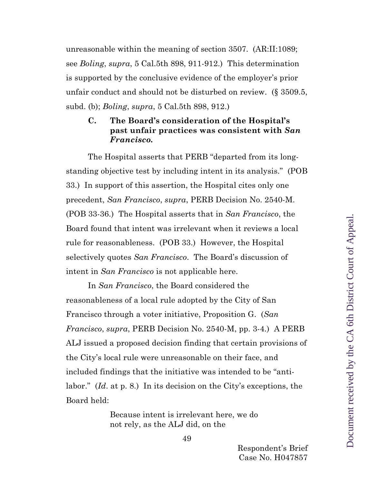unreasonable within the meaning of section 3507. (AR:II:1089; see *Boling*, *supra*, 5 Cal.5th 898, 911-912.) This determination is supported by the conclusive evidence of the employer's prior unfair conduct and should not be disturbed on review. (§ 3509.5, subd. (b); *Boling*, *supra*, 5 Cal.5th 898, 912.)

### <span id="page-48-0"></span>**C. The Board's consideration of the Hospital's past unfair practices was consistent with** *San Francisco.*

The Hospital asserts that PERB "departed from its longstanding objective test by including intent in its analysis." (POB 33.) In support of this assertion, the Hospital cites only one precedent, *San Francisco*, *supra*, PERB Decision No. 2540-M. (POB 33-36.) The Hospital asserts that in *San Francisco*, the Board found that intent was irrelevant when it reviews a local rule for reasonableness. (POB 33.) However, the Hospital selectively quotes *San Francisco*. The Board's discussion of intent in *San Francisco* is not applicable here.

In *San Francisco*, the Board considered the reasonableness of a local rule adopted by the City of San Francisco through a voter initiative, Proposition G. (*San Francisco*, *supra*, PERB Decision No. 2540-M, pp. 3-4.) A PERB ALJ issued a proposed decision finding that certain provisions of the City's local rule were unreasonable on their face, and included findings that the initiative was intended to be "antilabor." (*Id*. at p. 8.) In its decision on the City's exceptions, the Board held:

> Because intent is irrelevant here, we do not rely, as the ALJ did, on the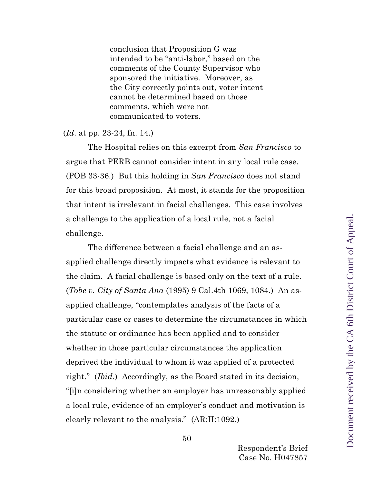conclusion that Proposition G was intended to be "anti-labor," based on the comments of the County Supervisor who sponsored the initiative. Moreover, as the City correctly points out, voter intent cannot be determined based on those comments, which were not communicated to voters.

#### (*Id*. at pp. 23-24, fn. 14.)

The Hospital relies on this excerpt from *San Francisco* to argue that PERB cannot consider intent in any local rule case. (POB 33-36.) But this holding in *San Francisco* does not stand for this broad proposition. At most, it stands for the proposition that intent is irrelevant in facial challenges. This case involves a challenge to the application of a local rule, not a facial challenge.

The difference between a facial challenge and an asapplied challenge directly impacts what evidence is relevant to the claim. A facial challenge is based only on the text of a rule. (*Tobe v. City of Santa Ana* (1995) 9 Cal.4th 1069, 1084.) An asapplied challenge, "contemplates analysis of the facts of a particular case or cases to determine the circumstances in which the statute or ordinance has been applied and to consider whether in those particular circumstances the application deprived the individual to whom it was applied of a protected right." (*Ibid.*) Accordingly, as the Board stated in its decision, "[i]n considering whether an employer has unreasonably applied a local rule, evidence of an employer's conduct and motivation is clearly relevant to the analysis." (AR:II:1092.)

Document received by the CA 6th District Court of Appeal.Document received by the CA 6th District Court of Appeal

50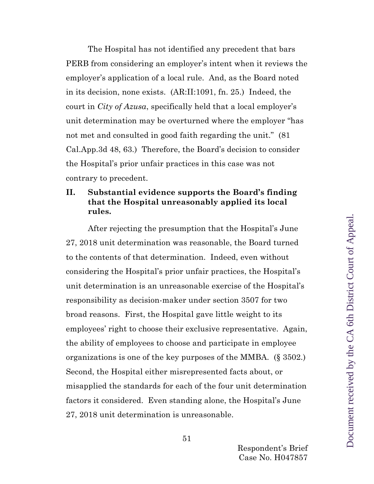The Hospital has not identified any precedent that bars PERB from considering an employer's intent when it reviews the employer's application of a local rule. And, as the Board noted in its decision, none exists. (AR:II:1091, fn. 25.) Indeed, the court in *City of Azusa*, specifically held that a local employer's unit determination may be overturned where the employer "has not met and consulted in good faith regarding the unit." (81 Cal.App.3d 48, 63.) Therefore, the Board's decision to consider the Hospital's prior unfair practices in this case was not contrary to precedent.

### <span id="page-50-0"></span>**II. Substantial evidence supports the Board's finding that the Hospital unreasonably applied its local rules.**

After rejecting the presumption that the Hospital's June 27, 2018 unit determination was reasonable, the Board turned to the contents of that determination. Indeed, even without considering the Hospital's prior unfair practices, the Hospital's unit determination is an unreasonable exercise of the Hospital's responsibility as decision-maker under section 3507 for two broad reasons. First, the Hospital gave little weight to its employees' right to choose their exclusive representative. Again, the ability of employees to choose and participate in employee organizations is one of the key purposes of the MMBA. (§ 3502.) Second, the Hospital either misrepresented facts about, or misapplied the standards for each of the four unit determination factors it considered. Even standing alone, the Hospital's June 27, 2018 unit determination is unreasonable.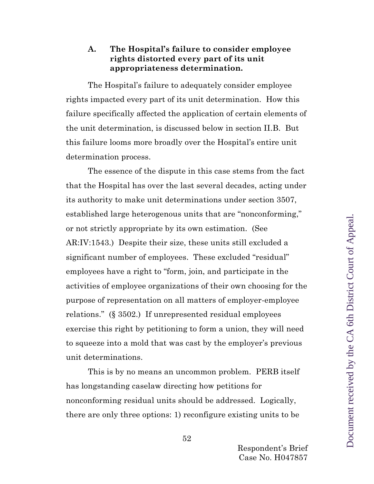## <span id="page-51-0"></span>**A. The Hospital's failure to consider employee rights distorted every part of its unit appropriateness determination.**

The Hospital's failure to adequately consider employee rights impacted every part of its unit determination. How this failure specifically affected the application of certain elements of the unit determination, is discussed below in section II.B. But this failure looms more broadly over the Hospital's entire unit determination process.

The essence of the dispute in this case stems from the fact that the Hospital has over the last several decades, acting under its authority to make unit determinations under section 3507, established large heterogenous units that are "nonconforming," or not strictly appropriate by its own estimation. (See AR:IV:1543.) Despite their size, these units still excluded a significant number of employees. These excluded "residual" employees have a right to "form, join, and participate in the activities of employee organizations of their own choosing for the purpose of representation on all matters of employer-employee relations." (§ 3502.) If unrepresented residual employees exercise this right by petitioning to form a union, they will need to squeeze into a mold that was cast by the employer's previous unit determinations.

This is by no means an uncommon problem. PERB itself has longstanding caselaw directing how petitions for nonconforming residual units should be addressed. Logically, there are only three options: 1) reconfigure existing units to be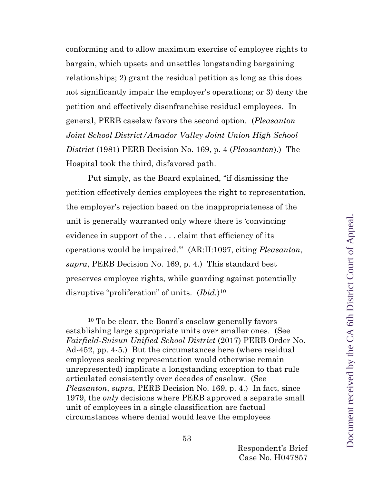conforming and to allow maximum exercise of employee rights to bargain, which upsets and unsettles longstanding bargaining relationships; 2) grant the residual petition as long as this does not significantly impair the employer's operations; or 3) deny the petition and effectively disenfranchise residual employees. In general, PERB caselaw favors the second option. (*Pleasanton Joint School District/Amador Valley Joint Union High School District* (1981) PERB Decision No. 169, p. 4 (*Pleasanton*).) The Hospital took the third, disfavored path.

Put simply, as the Board explained, "if dismissing the petition effectively denies employees the right to representation, the employer's rejection based on the inappropriateness of the unit is generally warranted only where there is 'convincing evidence in support of the . . . claim that efficiency of its operations would be impaired.'" (AR:II:1097, citing *Pleasanton*, *supra*, PERB Decision No. 169, p. 4.) This standard best preserves employee rights, while guarding against potentially disruptive "proliferation" of units. (*Ibid.*)[10](#page-52-0)

<span id="page-52-0"></span><sup>10</sup> To be clear, the Board's caselaw generally favors establishing large appropriate units over smaller ones. (See *Fairfield-Suisun Unified School District* (2017) PERB Order No. Ad-452, pp. 4-5.) But the circumstances here (where residual employees seeking representation would otherwise remain unrepresented) implicate a longstanding exception to that rule articulated consistently over decades of caselaw. (See *Pleasanton*, *supra*, PERB Decision No. 169, p. 4.) In fact, since 1979, the *only* decisions where PERB approved a separate small unit of employees in a single classification are factual circumstances where denial would leave the employees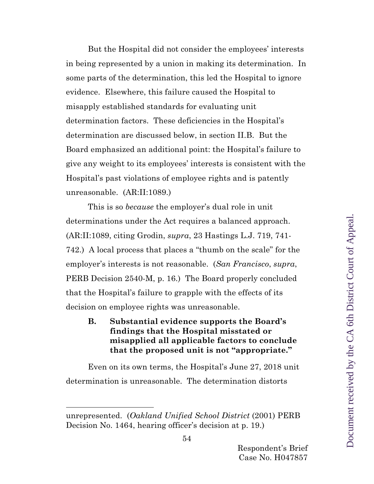But the Hospital did not consider the employees' interests in being represented by a union in making its determination. In some parts of the determination, this led the Hospital to ignore evidence. Elsewhere, this failure caused the Hospital to misapply established standards for evaluating unit determination factors. These deficiencies in the Hospital's determination are discussed below, in section II.B. But the Board emphasized an additional point: the Hospital's failure to give any weight to its employees' interests is consistent with the Hospital's past violations of employee rights and is patently unreasonable. (AR:II:1089.)

This is so *because* the employer's dual role in unit determinations under the Act requires a balanced approach. (AR:II:1089, citing Grodin, *supra*, 23 Hastings L.J. 719, 741- 742.) A local process that places a "thumb on the scale" for the employer's interests is not reasonable. (*San Francisco*, *supra*, PERB Decision 2540-M, p. 16.) The Board properly concluded that the Hospital's failure to grapple with the effects of its decision on employee rights was unreasonable.

<span id="page-53-0"></span>**B. Substantial evidence supports the Board's findings that the Hospital misstated or misapplied all applicable factors to conclude that the proposed unit is not "appropriate."**

Even on its own terms, the Hospital's June 27, 2018 unit determination is unreasonable. The determination distorts

unrepresented. (*Oakland Unified School District* (2001) PERB Decision No. 1464, hearing officer's decision at p. 19.)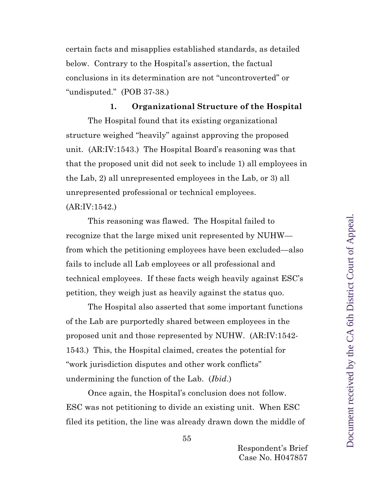certain facts and misapplies established standards, as detailed below. Contrary to the Hospital's assertion, the factual conclusions in its determination are not "uncontroverted" or "undisputed." (POB 37-38.)

## **1. Organizational Structure of the Hospital**

The Hospital found that its existing organizational structure weighed "heavily" against approving the proposed unit. (AR:IV:1543.) The Hospital Board's reasoning was that that the proposed unit did not seek to include 1) all employees in the Lab, 2) all unrepresented employees in the Lab, or 3) all unrepresented professional or technical employees. (AR:IV:1542.)

This reasoning was flawed. The Hospital failed to recognize that the large mixed unit represented by NUHW from which the petitioning employees have been excluded—also fails to include all Lab employees or all professional and technical employees. If these facts weigh heavily against ESC's petition, they weigh just as heavily against the status quo.

The Hospital also asserted that some important functions of the Lab are purportedly shared between employees in the proposed unit and those represented by NUHW. (AR:IV:1542- 1543.) This, the Hospital claimed, creates the potential for "work jurisdiction disputes and other work conflicts" undermining the function of the Lab. (*Ibid*.)

Once again, the Hospital's conclusion does not follow. ESC was not petitioning to divide an existing unit. When ESC filed its petition, the line was already drawn down the middle of

55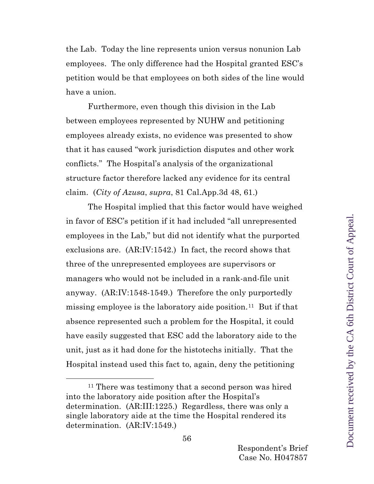the Lab. Today the line represents union versus nonunion Lab employees. The only difference had the Hospital granted ESC's petition would be that employees on both sides of the line would have a union.

Furthermore, even though this division in the Lab between employees represented by NUHW and petitioning employees already exists, no evidence was presented to show that it has caused "work jurisdiction disputes and other work conflicts." The Hospital's analysis of the organizational structure factor therefore lacked any evidence for its central claim. (*City of Azusa*, *supra*, 81 Cal.App.3d 48, 61.)

The Hospital implied that this factor would have weighed in favor of ESC's petition if it had included "all unrepresented employees in the Lab," but did not identify what the purported exclusions are. (AR:IV:1542.) In fact, the record shows that three of the unrepresented employees are supervisors or managers who would not be included in a rank-and-file unit anyway. (AR:IV:1548-1549.) Therefore the only purportedly missing employee is the laboratory aide position.<sup>[11](#page-55-0)</sup> But if that absence represented such a problem for the Hospital, it could have easily suggested that ESC add the laboratory aide to the unit, just as it had done for the histotechs initially. That the Hospital instead used this fact to, again, deny the petitioning

<span id="page-55-0"></span><sup>&</sup>lt;sup>11</sup> There was testimony that a second person was hired into the laboratory aide position after the Hospital's determination. (AR:III:1225.) Regardless, there was only a single laboratory aide at the time the Hospital rendered its determination. (AR:IV:1549.)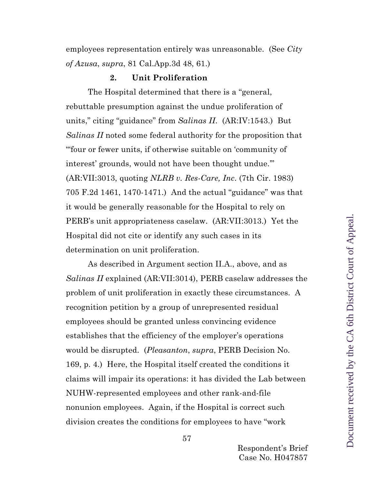employees representation entirely was unreasonable. (See *City of Azusa*, *supra*, 81 Cal.App.3d 48, 61.)

#### **2. Unit Proliferation**

The Hospital determined that there is a "general, rebuttable presumption against the undue proliferation of units," citing "guidance" from *Salinas II*. (AR:IV:1543.) But *Salinas II* noted some federal authority for the proposition that "'four or fewer units, if otherwise suitable on 'community of interest' grounds, would not have been thought undue.'" (AR:VII:3013, quoting *NLRB v. Res-Care, Inc*. (7th Cir. 1983) 705 F.2d 1461, 1470-1471.) And the actual "guidance" was that it would be generally reasonable for the Hospital to rely on PERB's unit appropriateness caselaw. (AR:VII:3013.) Yet the Hospital did not cite or identify any such cases in its determination on unit proliferation.

As described in Argument section II.A., above, and as *Salinas II* explained (AR:VII:3014), PERB caselaw addresses the problem of unit proliferation in exactly these circumstances. A recognition petition by a group of unrepresented residual employees should be granted unless convincing evidence establishes that the efficiency of the employer's operations would be disrupted. (*Pleasanton*, *supra*, PERB Decision No. 169, p. 4.) Here, the Hospital itself created the conditions it claims will impair its operations: it has divided the Lab between NUHW-represented employees and other rank-and-file nonunion employees. Again, if the Hospital is correct such division creates the conditions for employees to have "work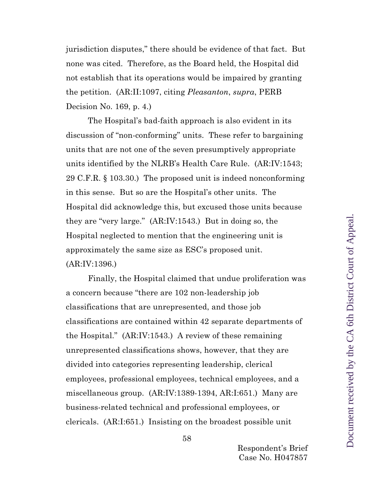jurisdiction disputes," there should be evidence of that fact. But none was cited. Therefore, as the Board held, the Hospital did not establish that its operations would be impaired by granting the petition. (AR:II:1097, citing *Pleasanton*, *supra*, PERB Decision No. 169, p. 4.)

The Hospital's bad-faith approach is also evident in its discussion of "non-conforming" units. These refer to bargaining units that are not one of the seven presumptively appropriate units identified by the NLRB's Health Care Rule. (AR:IV:1543; 29 C.F.R. § 103.30.) The proposed unit is indeed nonconforming in this sense. But so are the Hospital's other units. The Hospital did acknowledge this, but excused those units because they are "very large." (AR:IV:1543.) But in doing so, the Hospital neglected to mention that the engineering unit is approximately the same size as ESC's proposed unit. (AR:IV:1396.)

Finally, the Hospital claimed that undue proliferation was a concern because "there are 102 non-leadership job classifications that are unrepresented, and those job classifications are contained within 42 separate departments of the Hospital." (AR:IV:1543.) A review of these remaining unrepresented classifications shows, however, that they are divided into categories representing leadership, clerical employees, professional employees, technical employees, and a miscellaneous group. (AR:IV:1389-1394, AR:I:651.) Many are business-related technical and professional employees, or clericals. (AR:I:651.) Insisting on the broadest possible unit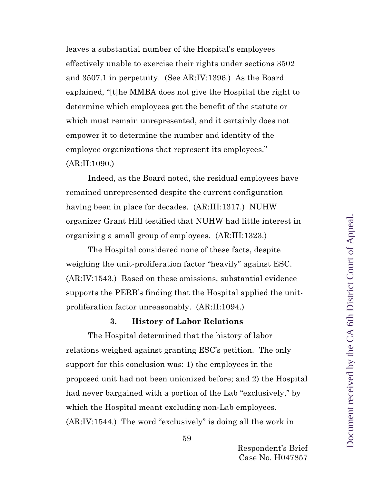leaves a substantial number of the Hospital's employees effectively unable to exercise their rights under sections 3502 and 3507.1 in perpetuity. (See AR:IV:1396.) As the Board explained, "[t]he MMBA does not give the Hospital the right to determine which employees get the benefit of the statute or which must remain unrepresented, and it certainly does not empower it to determine the number and identity of the employee organizations that represent its employees." (AR:II:1090.)

Indeed, as the Board noted, the residual employees have remained unrepresented despite the current configuration having been in place for decades. (AR:III:1317.) NUHW organizer Grant Hill testified that NUHW had little interest in organizing a small group of employees. (AR:III:1323.)

The Hospital considered none of these facts, despite weighing the unit-proliferation factor "heavily" against ESC. (AR:IV:1543.) Based on these omissions, substantial evidence supports the PERB's finding that the Hospital applied the unitproliferation factor unreasonably. (AR:II:1094.)

#### **3. History of Labor Relations**

The Hospital determined that the history of labor relations weighed against granting ESC's petition. The only support for this conclusion was: 1) the employees in the proposed unit had not been unionized before; and 2) the Hospital had never bargained with a portion of the Lab "exclusively," by which the Hospital meant excluding non-Lab employees. (AR:IV:1544.) The word "exclusively" is doing all the work in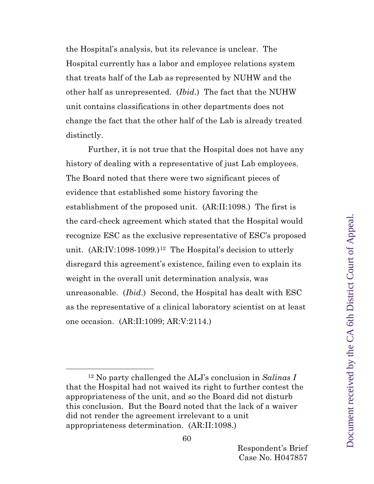the Hospital's analysis, but its relevance is unclear. The Hospital currently has a labor and employee relations system that treats half of the Lab as represented by NUHW and the other half as unrepresented. (*Ibid.*) The fact that the NUHW unit contains classifications in other departments does not change the fact that the other half of the Lab is already treated distinctly.

Further, it is not true that the Hospital does not have any history of dealing with a representative of just Lab employees. The Board noted that there were two significant pieces of evidence that established some history favoring the establishment of the proposed unit. (AR:II:1098.) The first is the card-check agreement which stated that the Hospital would recognize ESC as the exclusive representative of ESC's proposed unit. (AR:IV:1098-1099.)<sup>12</sup> The Hospital's decision to utterly disregard this agreement's existence, failing even to explain its weight in the overall unit determination analysis, was unreasonable. (*Ibid*.) Second, the Hospital has dealt with ESC as the representative of a clinical laboratory scientist on at least one occasion. (AR:II:1099; AR:V:2114.)

<span id="page-59-0"></span><sup>12</sup> No party challenged the ALJ's conclusion in *Salinas I* that the Hospital had not waived its right to further contest the appropriateness of the unit, and so the Board did not disturb this conclusion. But the Board noted that the lack of a waiver did not render the agreement irrelevant to a unit appropriateness determination. (AR:II:1098.)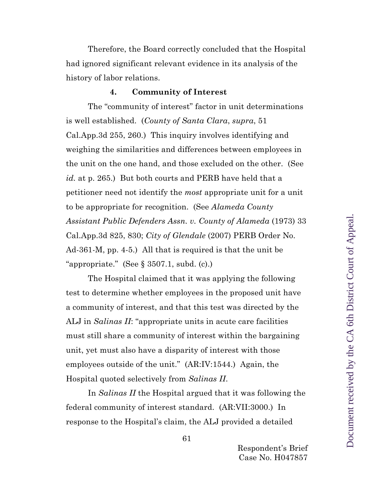Therefore, the Board correctly concluded that the Hospital had ignored significant relevant evidence in its analysis of the history of labor relations.

#### **4. Community of Interest**

The "community of interest" factor in unit determinations is well established. (*County of Santa Clara*, *supra*, 51 Cal.App.3d 255, 260.) This inquiry involves identifying and weighing the similarities and differences between employees in the unit on the one hand, and those excluded on the other. (See *id.* at p. 265.) But both courts and PERB have held that a petitioner need not identify the *most* appropriate unit for a unit to be appropriate for recognition. (See *Alameda County Assistant Public Defenders Assn. v. County of Alameda* (1973) 33 Cal.App.3d 825, 830; *City of Glendale* (2007) PERB Order No. Ad-361-M, pp. 4-5.) All that is required is that the unit be "appropriate." (See  $\S 3507.1$ , subd. (c).)

The Hospital claimed that it was applying the following test to determine whether employees in the proposed unit have a community of interest, and that this test was directed by the ALJ in *Salinas II*: "appropriate units in acute care facilities must still share a community of interest within the bargaining unit, yet must also have a disparity of interest with those employees outside of the unit." (AR:IV:1544.) Again, the Hospital quoted selectively from *Salinas II*.

In *Salinas II* the Hospital argued that it was following the federal community of interest standard. (AR:VII:3000.) In response to the Hospital's claim, the ALJ provided a detailed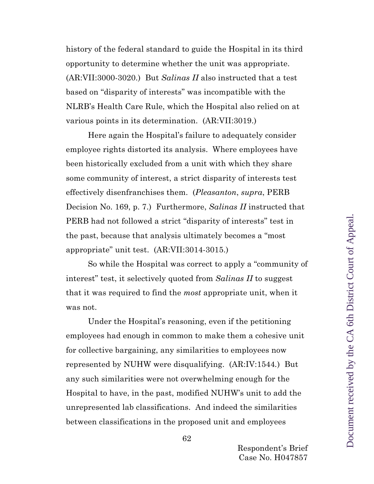history of the federal standard to guide the Hospital in its third opportunity to determine whether the unit was appropriate. (AR:VII:3000-3020.) But *Salinas II* also instructed that a test based on "disparity of interests" was incompatible with the NLRB's Health Care Rule, which the Hospital also relied on at various points in its determination. (AR:VII:3019.)

Here again the Hospital's failure to adequately consider employee rights distorted its analysis. Where employees have been historically excluded from a unit with which they share some community of interest, a strict disparity of interests test effectively disenfranchises them. (*Pleasanton*, *supra*, PERB Decision No. 169, p. 7.) Furthermore, *Salinas II* instructed that PERB had not followed a strict "disparity of interests" test in the past, because that analysis ultimately becomes a "most appropriate" unit test. (AR:VII:3014-3015.)

So while the Hospital was correct to apply a "community of interest" test, it selectively quoted from *Salinas II* to suggest that it was required to find the *most* appropriate unit, when it was not.

Under the Hospital's reasoning, even if the petitioning employees had enough in common to make them a cohesive unit for collective bargaining, any similarities to employees now represented by NUHW were disqualifying. (AR:IV:1544*.*) But any such similarities were not overwhelming enough for the Hospital to have, in the past, modified NUHW's unit to add the unrepresented lab classifications. And indeed the similarities between classifications in the proposed unit and employees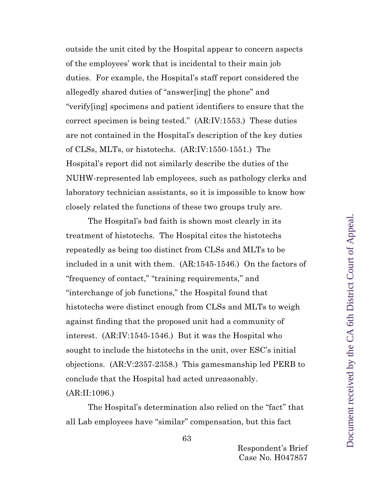outside the unit cited by the Hospital appear to concern aspects of the employees' work that is incidental to their main job duties. For example, the Hospital's staff report considered the allegedly shared duties of "answer[ing] the phone" and "verify[ing] specimens and patient identifiers to ensure that the correct specimen is being tested." (AR:IV:1553.) These duties are not contained in the Hospital's description of the key duties of CLSs, MLTs, or histotechs. (AR:IV:1550-1551.) The Hospital's report did not similarly describe the duties of the NUHW-represented lab employees, such as pathology clerks and laboratory technician assistants, so it is impossible to know how closely related the functions of these two groups truly are.

The Hospital's bad faith is shown most clearly in its treatment of histotechs. The Hospital cites the histotechs repeatedly as being too distinct from CLSs and MLTs to be included in a unit with them. (AR:1545-1546.) On the factors of "frequency of contact," "training requirements," and "interchange of job functions," the Hospital found that histotechs were distinct enough from CLSs and MLTs to weigh against finding that the proposed unit had a community of interest. (AR:IV:1545-1546.) But it was the Hospital who sought to include the histotechs in the unit, over ESC's initial objections. (AR:V:2357-2358.) This gamesmanship led PERB to conclude that the Hospital had acted unreasonably. (AR:II:1096.)

The Hospital's determination also relied on the "fact" that all Lab employees have "similar" compensation, but this fact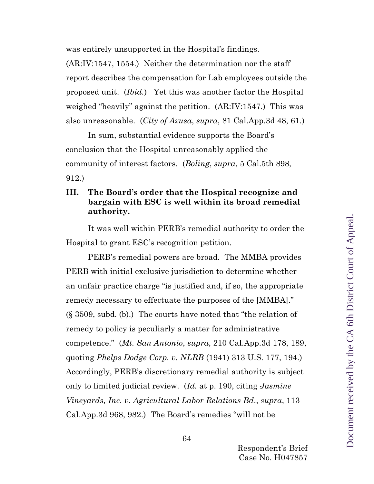was entirely unsupported in the Hospital's findings.

(AR:IV:1547, 1554.) Neither the determination nor the staff report describes the compensation for Lab employees outside the proposed unit. (*Ibid.*) Yet this was another factor the Hospital weighed "heavily" against the petition. (AR:IV:1547*.*) This was also unreasonable. (*City of Azusa*, *supra*, 81 Cal.App.3d 48, 61.)

In sum, substantial evidence supports the Board's conclusion that the Hospital unreasonably applied the community of interest factors. (*Boling*, *supra*, 5 Cal.5th 898, 912.)

## <span id="page-63-0"></span>**III. The Board's order that the Hospital recognize and bargain with ESC is well within its broad remedial authority.**

It was well within PERB's remedial authority to order the Hospital to grant ESC's recognition petition.

PERB's remedial powers are broad. The MMBA provides PERB with initial exclusive jurisdiction to determine whether an unfair practice charge "is justified and, if so, the appropriate remedy necessary to effectuate the purposes of the [MMBA]." (§ 3509, subd. (b).) The courts have noted that "the relation of remedy to policy is peculiarly a matter for administrative competence." (*Mt. San Antonio*, *supra*, 210 Cal.App.3d 178, 189, quoting *Phelps Dodge Corp. v. NLRB* (1941) 313 U.S. 177, 194.) Accordingly, PERB's discretionary remedial authority is subject only to limited judicial review. (*Id.* at p. 190, citing *Jasmine Vineyards, Inc. v. Agricultural Labor Relations Bd*., *supra*, 113 Cal.App.3d 968, 982.) The Board's remedies "will not be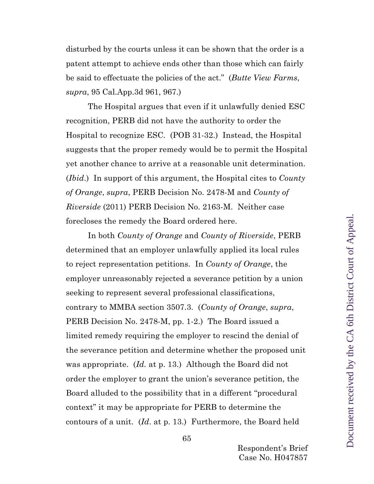disturbed by the courts unless it can be shown that the order is a patent attempt to achieve ends other than those which can fairly be said to effectuate the policies of the act." (*Butte View Farms*, *supra*, 95 Cal.App.3d 961, 967.)

The Hospital argues that even if it unlawfully denied ESC recognition, PERB did not have the authority to order the Hospital to recognize ESC. (POB 31-32.) Instead, the Hospital suggests that the proper remedy would be to permit the Hospital yet another chance to arrive at a reasonable unit determination. (*Ibid*.) In support of this argument, the Hospital cites to *County of Orange*, *supra*, PERB Decision No. 2478-M and *County of Riverside* (2011) PERB Decision No. 2163-M. Neither case forecloses the remedy the Board ordered here.

In both *County of Orange* and *County of Riverside*, PERB determined that an employer unlawfully applied its local rules to reject representation petitions. In *County of Orange*, the employer unreasonably rejected a severance petition by a union seeking to represent several professional classifications, contrary to MMBA section 3507.3. (*County of Orange*, *supra*, PERB Decision No. 2478-M, pp. 1-2.) The Board issued a limited remedy requiring the employer to rescind the denial of the severance petition and determine whether the proposed unit was appropriate. (*Id.* at p. 13.) Although the Board did not order the employer to grant the union's severance petition, the Board alluded to the possibility that in a different "procedural context" it may be appropriate for PERB to determine the contours of a unit. (*Id*. at p. 13.) Furthermore, the Board held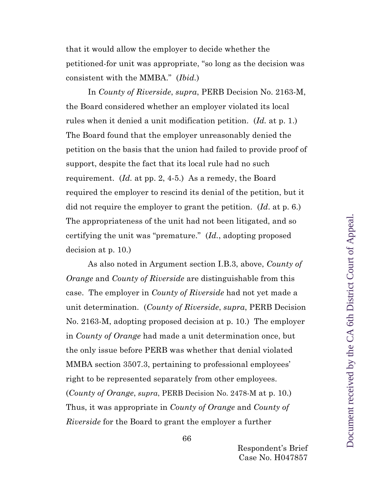that it would allow the employer to decide whether the petitioned-for unit was appropriate, "so long as the decision was consistent with the MMBA." (*Ibid.*)

In *County of Riverside*, *supra*, PERB Decision No. 2163-M, the Board considered whether an employer violated its local rules when it denied a unit modification petition. (*Id.* at p. 1.) The Board found that the employer unreasonably denied the petition on the basis that the union had failed to provide proof of support, despite the fact that its local rule had no such requirement. (*Id.* at pp. 2, 4-5.) As a remedy, the Board required the employer to rescind its denial of the petition, but it did not require the employer to grant the petition. (*Id*. at p. 6.) The appropriateness of the unit had not been litigated, and so certifying the unit was "premature." (*Id.*, adopting proposed decision at p. 10.)

As also noted in Argument section I.B.3, above, *County of Orange* and *County of Riverside* are distinguishable from this case. The employer in *County of Riverside* had not yet made a unit determination. (*County of Riverside*, *supra*, PERB Decision No. 2163-M, adopting proposed decision at p. 10.) The employer in *County of Orange* had made a unit determination once, but the only issue before PERB was whether that denial violated MMBA section 3507.3, pertaining to professional employees' right to be represented separately from other employees. (*County of Orange*, *supra*, PERB Decision No. 2478-M at p. 10.) Thus, it was appropriate in *County of Orange* and *County of Riverside* for the Board to grant the employer a further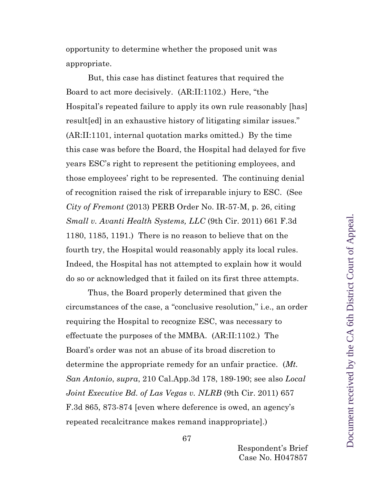opportunity to determine whether the proposed unit was appropriate.

But, this case has distinct features that required the Board to act more decisively. (AR:II:1102.) Here, "the Hospital's repeated failure to apply its own rule reasonably [has] result[ed] in an exhaustive history of litigating similar issues." (AR:II:1101, internal quotation marks omitted.) By the time this case was before the Board, the Hospital had delayed for five years ESC's right to represent the petitioning employees, and those employees' right to be represented. The continuing denial of recognition raised the risk of irreparable injury to ESC. (See *City of Fremont* (2013) PERB Order No. IR-57-M, p. 26, citing *Small v. Avanti Health Systems, LLC* (9th Cir. 2011) 661 F.3d 1180, 1185, 1191.) There is no reason to believe that on the fourth try, the Hospital would reasonably apply its local rules. Indeed, the Hospital has not attempted to explain how it would do so or acknowledged that it failed on its first three attempts.

Thus, the Board properly determined that given the circumstances of the case, a "conclusive resolution," i.e., an order requiring the Hospital to recognize ESC, was necessary to effectuate the purposes of the MMBA. (AR:II:1102.) The Board's order was not an abuse of its broad discretion to determine the appropriate remedy for an unfair practice. (*Mt. San Antonio*, *supra*, 210 Cal.App.3d 178, 189-190; see also *Local Joint Executive Bd. of Las Vegas v. NLRB* (9th Cir. 2011) 657 F.3d 865, 873-874 [even where deference is owed, an agency's repeated recalcitrance makes remand inappropriate].)

Respondent's Brief Case No. H047857

67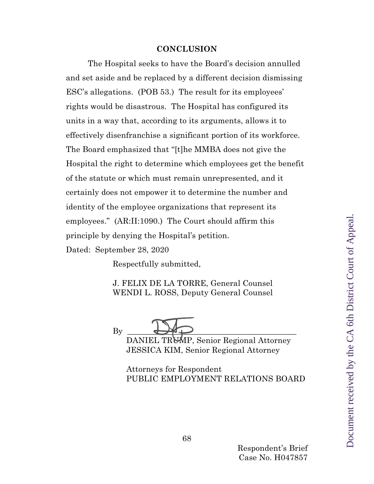#### **CONCLUSION**

The Hospital seeks to have the Board's decision annulled and set aside and be replaced by a different decision dismissing ESC's allegations. (POB 53.) The result for its employees' rights would be disastrous. The Hospital has configured its units in a way that, according to its arguments, allows it to effectively disenfranchise a significant portion of its workforce. The Board emphasized that "[t]he MMBA does not give the Hospital the right to determine which employees get the benefit of the statute or which must remain unrepresented, and it certainly does not empower it to determine the number and identity of the employee organizations that represent its employees." (AR:II:1090.) The Court should affirm this principle by denying the Hospital's petition.

Dated: September 28, 2020

Respectfully submitted,

J. FELIX DE LA TORRE, General Counsel WENDI L. ROSS, Deputy General Counsel



DANIEL TRUMP, Senior Regional Attorney JESSICA KIM, Senior Regional Attorney

 Attorneys for Respondent PUBLIC EMPLOYMENT RELATIONS BOARD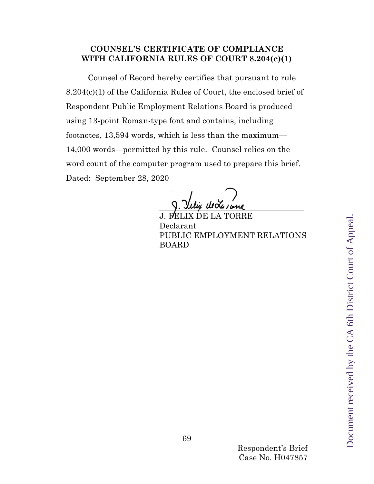## **COUNSEL'S CERTIFICATE OF COMPLIANCE WITH CALIFORNIA RULES OF COURT 8.204(c)(1)**

Counsel of Record hereby certifies that pursuant to rule 8.204(c)(1) of the California Rules of Court, the enclosed brief of Respondent Public Employment Relations Board is produced using 13-point Roman-type font and contains, including footnotes, 13,594 words, which is less than the maximum— 14,000 words—permitted by this rule. Counsel relies on the word count of the computer program used to prepare this brief. Dated: September 28, 2020

 $\frac{1}{2}$ . They was none

TORRE Declarant PUBLIC EMPLOYMENT RELATIONS BOARD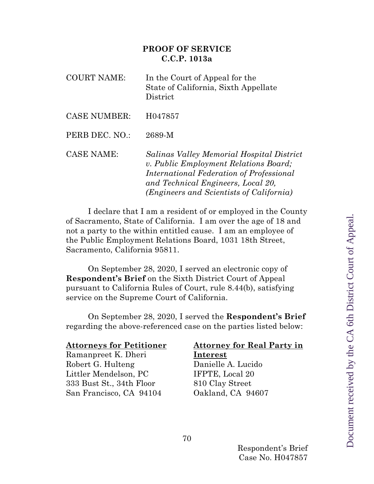## **PROOF OF SERVICE C.C.P. 1013a**

| <b>COURT NAME:</b>  | In the Court of Appeal for the<br>State of California, Sixth Appellate<br>District                                                                                                                               |
|---------------------|------------------------------------------------------------------------------------------------------------------------------------------------------------------------------------------------------------------|
| <b>CASE NUMBER:</b> | H047857                                                                                                                                                                                                          |
| PERB DEC. NO.:      | 2689-M                                                                                                                                                                                                           |
| <b>CASE NAME:</b>   | Salinas Valley Memorial Hospital District<br>v. Public Employment Relations Board;<br>International Federation of Professional<br>and Technical Engineers, Local 20,<br>(Engineers and Scientists of California) |

I declare that I am a resident of or employed in the County of Sacramento, State of California. I am over the age of 18 and not a party to the within entitled cause. I am an employee of the Public Employment Relations Board, 1031 18th Street, Sacramento, California 95811.

On September 28, 2020, I served an electronic copy of **Respondent's Brief** on the Sixth District Court of Appeal pursuant to California Rules of Court, rule 8.44(b), satisfying service on the Supreme Court of California.

On September 28, 2020, I served the **Respondent's Brief**  regarding the above-referenced case on the parties listed below:

#### **Attorneys for Petitioner**

Ramanpreet K. Dheri Robert G. Hulteng Littler Mendelson, PC 333 Bust St., 34th Floor San Francisco, CA 94104

### **Attorney for Real Party in Interest**

Danielle A. Lucido IFPTE, Local 20 810 Clay Street Oakland, CA 94607

Document received by the CA 6th District Court of Appeal.Document received by the CA 6th District Court of Appeal